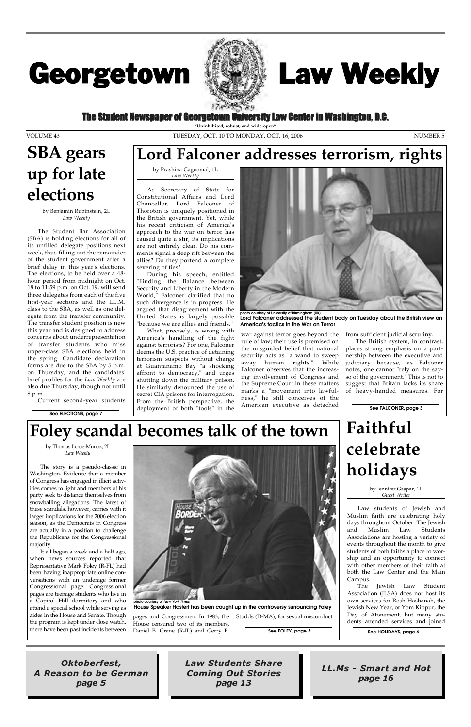### The Student Newspaper of Georgetown University Law Center in Washington, D.C.

# Georgetown



Oktoberfest, A Reason to be German page 5

LL.Ms - Smart and Hot page 16

Law Students Share Coming Out Stories page 13

# Law Weekly

**"Uninhibited, robust, and wide-open"**

VOLUME 43 TUESDAY, OCT. 10 TO MONDAY, OCT. 16, 2006 NUMBER 5

by Benjamin Rubinstein, 2L *Law Weekly*

The Student Bar Association (SBA) is holding elections for all of its unfilled delegate positions next week, thus filling out the remainder of the student government after a brief delay in this year's elections. The elections, to be held over a 48 hour period from midnight on Oct. 18 to 11:59 p.m. on Oct. 19, will send three delegates from each of the five first-year sections and the LL.M. class to the SBA, as well as one delegate from the transfer community. The transfer student position is new this year and is designed to address concerns about underrepresentation of transfer students who miss upper-class SBA elections held in the spring. Candidate declaration forms are due to the SBA by 5 p.m. on Thursday, and the candidates' brief profiles for the *Law Weekly* are also due Thursday, though not until 8 p.m.

As Secretary of State for Constitutional Affairs and Lord Chancellor, Lord Falconer of Thoroton is uniquely positioned in the British government. Yet, while his recent criticism of America's approach to the war on terror has caused quite a stir, its implications are not entirely clear. Do his comments signal a deep rift between the allies? Do they portend a complete severing of ties?

Current second-year students

by Thomas Leroe-Munoz, 2L *Law Weekly*

The story is a pseudo-classic in Washington. Evidence that a member of Congress has engaged in illicit activities comes to light and members of his party seek to distance themselves from snowballing allegations. The latest of these scandals, however, carries with it larger implications for the 2006 election season, as the Democrats in Congress are actually in a position to challenge



the Republicans for the Congressional majority.

It all began a week and a half ago, when news sources reported that Representative Mark Foley (R-FL) had been having inappropriate online conversations with an underage former Congressional page. Congressional pages are teenage students who live in a Capitol Hill dormitory and who attend a special school while serving as aides in the House and Senate. Though the program is kept under close watch, there have been past incidents between

House censured two of its members, Daniel B. Crane (R-IL) and Gerry E.

pages and Congressmen. In 1983, the Studds (D-MA), for sexual misconduct

**hoto courtesy of New York Ti House Speaker Hastert has been caught up in the controversy surrounding Foley**

by Prashina Gagoomal, 1L *Law Weekly*

During his speech, entitled "Finding the Balance between Security and Liberty in the Modern World," Falconer clarified that no such divergence is in progress. He argued that disagreement with the United States is largely possible "because we are allies and friends."

What, precisely, is wrong with America's handling of the fight against terrorists? For one, Falconer deems the U.S. practice of detaining terrorism suspects without charge at Guantanamo Bay "a shocking affront to democracy," and urges shutting down the military prison. He similarly denounced the use of secret CIA prisons for interrogation. From the British perspective, the deployment of both "tools" in the

war against terror goes beyond the rule of law; their use is premised on the misguided belief that national security acts as "a wand to sweep away human rights." While Falconer observes that the increasing involvement of Congress and the Supreme Court in these matters marks a "movement into lawfulness," he still conceives of the American executive as detached

from sufficient judicial scrutiny.

The British system, in contrast, places strong emphasis on a partnership between the executive and judiciary because, as Falconer notes, one cannot "rely on the sayso of the government." This is not to suggest that Britain lacks its share of heavy-handed measures. For

## **SBA gears up for late elections**

**See FALCONER, page 3**



**photo courtesy of University of Birmingham (UK) Lord Falconer addressed the student body on Tuesday about the British view on America's tactics in the War on Terror**

# **Foley scandal becomes talk of the town**

### **Lord Falconer addresses terrorism, rights**

**See HOLIDAYS, page 6**

# **Faithful celebrate holidays**

by Jennifer Gaspar, 1L *Guest Writer*

Law students of Jewish and Muslim faith are celebrating holy days throughout October. The Jewish and Muslim Law Students Associations are hosting a variety of events throughout the month to give students of both faiths a place to worship and an opportunity to connect with other members of their faith at both the Law Center and the Main Campus. The Jewish Law Student Association (JLSA) does not host its own services for Rosh Hashanah, the Jewish New Year, or Yom Kippur, the Day of Atonement, but many students attended services and joined

**See ELECTIONS, page 7**

**See FOLEY, page 3**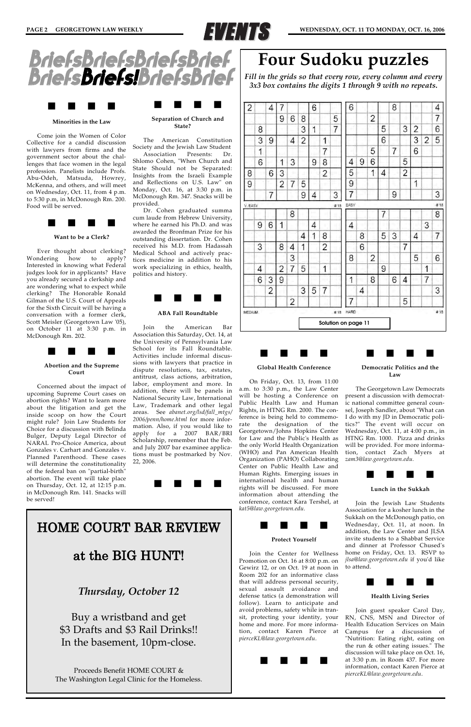

#### **Minorities in the Law**

. . . .

Come join the Women of Color Collective for a candid discussion with lawyers from firms and the government sector about the challenges that face women in the legal profession. Panelists include Profs. Abu-Odeh, Matsuda, Howrey, McKenna, and others, and will meet on Wednesday, Oct. 11, from 4 p.m. to 5:30 p.m, in McDonough Rm. 200. Food will be served.



**Want to be a Clerk?**

Ever thought about clerking? Wondering how to apply? Interested in knowing what Federal judges look for in applicants? Have you already secured a clerkship and are wondering what to expect while clerking? The Honorable Ronald Gilman of the U.S. Court of Appeals for the Sixth Circuit will be having a conversation with a former clerk, Scott Meisler (Georgetown Law '05), on October 11 at 3:30 p.m. in McDonough Rm. 202.



**Abortion and the Supreme Court**

Concerned about the impact of upcoming Supreme Court cases on abortion rights? Want to learn more about the litigation and get the inside scoop on how the Court might rule? Join Law Students for Choice for a discussion with Belinda Bulger, Deputy Legal Director of NARAL Pro-Choice America, about Gonzales v. Carhart and Gonzales v. Planned Parenthood. These cases will determine the constitutionality of the federal ban on "partial-birth" abortion. The event will take place on Thursday, Oct. 12, at 12:15 p.m. in McDonough Rm. 141. Snacks will be served!

#### **Separation of Church and State?**

. . . .

The American Constitution Society and the Jewish Law Student

Association Presents: Dr. Shlomo Cohen, "When Church and State Should not be Separated: Insights from the Israeli Example and Reflections on U.S. Law" on Monday, Oct. 16, at 3:30 p.m. in McDonough Rm. 347. Snacks will be provided.

### . . . . **Democratic Politics and the**

Dr. Cohen graduated summa cum laude from Hebrew University, where he earned his Ph.D. and was awarded the Bronfman Prize for his outstanding dissertation. Dr. Cohen received his M.D. from Hadassah Medical School and actively practices medicine in addition to his work specializing in ethics, health, politics and history.



#### **ABA Fall Roundtable**

Join the American Bar Association this Saturday, Oct. 14, at the University of Pennsylvania Law School for its Fall Roundtable. Activities include informal discussions with lawyers that practice in dispute resolutions, tax, estates, antitrust, class actions, arbitration, labor, employment and more. In addition, there will be panels in National Security Law, International Law, Trademark and other legal areas. See *abanet.org/lsd/fall\_mtgs/ 2006/penn/home.html* for more information. Also, if you would like to apply for a 2007 BAR/BRI Scholarship, remember that the Feb. and July 2007 bar examinee applications must be postmarked by Nov. 22, 2006.





#### **Global Health Conference**

. . . .

On Friday, Oct. 13, from 11:00 a.m. to 3:30 p.m., the Law Center will be hosting a Conference on Public Health Law and Human Rights, in HTNG Rm. 2000. The conference is being held to commemorate the designation of the Georgetown/Johns Hopkins Center for Law and the Public's Health as the only World Health Organization (WHO) and Pan American Health Organization (PAHO) Collaborating Center on Public Health Law and Human Rights. Emerging issues in international health and human rights will be discussed. For more information about attending the conference, contact Kara Tershel, at *kat5@law.georgetown.edu.*

#### **Protect Yourself**

. . . .

Join the Center for Wellness Promotion on Oct. 16 at 8:00 p.m. on Gewirz 12, or on Oct. 19 at noon in Room 202 for an informative class that will address personal security, sexual assault avoidance and defense tatics (a demonstration will follow). Learn to anticipate and avoid problems, safety while in transit, protecting your identity, your home and more. For more information, contact Karen Pierce at *pierceKL@law.georgetown.edu*.



**Law**

The Georgetown Law Democrats present a discussion with democratic national committee general counsel, Joseph Sandler, about "What can I do with my JD in Democratic politics?" The event will occur on Wednesday, Oct. 11, at 4:00 p.m., in HTNG Rm. 1000. Pizza and drinks will be provided. For more information, contact Zach Myers at *zam3@law.georgetown.edu.*



**Lunch in the Sukkah**

Join the Jewish Law Students Association for a kosher lunch in the Sukkah on the McDonough patio, on Wednesday, Oct. 11, at noon. In addition, the Law Center and JLSA invite students to a Shabbat Service and dinner at Professor Chused's home on Friday, Oct. 13. RSVP to *jlsa@law.georgetown.edu* if you'd like to attend.



### **Health Living Series**

Join guest speaker Carol Day, RN, CNS, MSN and Director of Health Education Services on Main Campus for a discussion of "Nutrition: Eating right, eating on the run & other eating issues." The discussion will take place on Oct. 16, at 3:30 p.m. in Room 437. For more information, contact Karen Pierce at *pierceKL@law.georgetown.edu*.

*Fill in the grids so that every row, every column and every 3x3 box contains the digits 1 through 9 with no repeats.* 

|         |   |                |                |   |   |   |                | Solution on page 11 |      |   |                |   |   |                |   |   |     |
|---------|---|----------------|----------------|---|---|---|----------------|---------------------|------|---|----------------|---|---|----------------|---|---|-----|
| MEDIUM  |   |                |                |   |   |   |                | $= 18$              | HARD |   |                |   |   |                |   |   | #18 |
|         |   |                |                | 2 |   |   |                |                     | 7    |   |                |   |   | 5              |   |   |     |
|         |   | $\overline{2}$ |                |   | 3 | 5 | 7              |                     |      | 4 |                |   | ĸ |                |   |   | 3   |
|         | 6 | 3              | 9              |   |   |   |                |                     | 1    |   | 8              |   | 6 | 4              |   | 7 |     |
|         | 4 |                | 2              | 7 | 5 |   | 1              |                     |      |   |                | 9 |   | u.             |   | 1 |     |
|         |   |                |                | 3 |   |   |                |                     | 8    |   | 2              |   |   |                | 5 |   | 6   |
|         | 3 |                | 8              | 4 | 1 |   | 2              |                     |      | 6 |                |   |   | $\overline{7}$ |   |   |     |
|         |   |                |                |   | 4 | 1 | 8              |                     |      | 8 |                | 5 | 3 |                | 4 |   | 7   |
|         | 9 | 6              | 1              |   |   | 4 |                |                     | 4    |   |                |   |   |                |   | 3 |     |
|         |   |                |                | 8 |   |   |                |                     |      |   |                | 7 |   |                |   |   | 8   |
| V. EASY |   |                |                |   |   |   |                | #18                 | EASY |   |                |   |   |                |   |   | #18 |
|         |   | 7              |                |   | 9 | 4 |                | 3                   | 7    |   |                |   | 9 |                |   |   | 3   |
| 9       |   |                | $\overline{2}$ | 7 | 5 |   |                |                     | 9    |   |                |   |   |                | 1 |   |     |
| 8       |   | 6              | 3              |   |   |   | $\overline{2}$ |                     | 5    |   | 1              | 4 |   | 2              |   |   |     |
|         | 6 |                | 1              | 3 |   | 9 | 8              |                     | 4    | 9 | 6              |   |   | 5              |   |   |     |
|         | 1 |                |                |   |   |   | 7              |                     |      |   | 5              |   | 7 |                | 6 |   |     |
|         | 3 | 9              |                | 4 | 2 |   | 1              |                     |      |   |                | 6 |   |                | 3 | 2 | 5   |
|         | 8 |                |                |   | 3 | 1 |                | 7                   |      |   |                | 5 |   | 3              | 2 |   | 6   |
|         |   |                | 9              | 6 | 8 |   |                | 5                   |      |   | $\overline{2}$ |   | ۹ | 1              |   |   | 7   |
| 2       |   | 4              | 7              |   |   | 6 |                |                     | 6    |   |                |   | 8 |                |   |   | 4   |

### HOME COURT BAR REVIEW

### at the BIG HUNT!

### *Thursday, October 12*

Buy a wristband and get \$3 Drafts and \$3 Rail Drinks!! In the basement, 10pm-close.

Proceeds Benefit HOME COURT & The Washington Legal Clinic for the Homeless.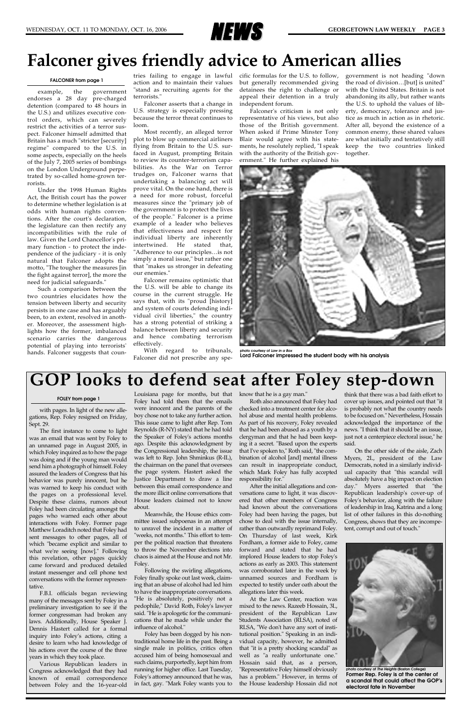

### **GOP looks to defend seat after Foley step-down**

with pages. In light of the new allegations, Rep. Foley resigned on Friday, Sept. 29.

The first instance to come to light was an email that was sent by Foley to an unnamed page in August 2005, in which Foley inquired as to how the page was doing and if the young man would send him a photograph of himself. Foley assured the leaders of Congress that his behavior was purely innocent, but he was warned to keep his conduct with the pages on a professional level. Despite these claims, rumors about Foley had been circulating amongst the pages who warned each other about interactions with Foley. Former page Matthew Loraditch noted that Foley had sent messages to other pages, all of which "became explicit and similar to what we're seeing [now]." Following this revelation, other pages quickly came forward and produced detailed instant messenger and cell phone text conversations with the former representative. F.B.I. officials began reviewing many of the messages sent by Foley in a preliminary investigation to see if the former congressman had broken any laws. Additionally, House Speaker J. Dennis Hastert called for a formal inquiry into Foley's actions, citing a desire to learn who had knowledge of his actions over the course of the three years in which they took place. Various Republican leaders in Congress acknowledged that they had known of email correspondence between Foley and the 16-year-old

Louisiana page for months, but that Foley had told them that the emails were innocent and the parents of the boy chose not to take any further action. This issue came to light after Rep. Tom Reynolds (R-NY) stated that he had told the Speaker of Foley's actions months ago. Despite this acknowledgment by the Congressional leadership, the issue was left to Rep. John Shminkus (R-IL), the chairman on the panel that oversees the page system. Hastert asked the Justice Department to draw a line between this email correspondence and the more illicit online conversations that House leaders claimed not to know about.

Meanwhile, the House ethics committee issued subpoenas in an attempt to unravel the incident in a matter of "weeks, not months." This effort to temper the political reaction that threatens to throw the November elections into chaos is aimed at the House and not Mr. Foley. Following the swirling allegations, Foley finally spoke out last week, claiming that an abuse of alcohol had led him to have the inappropriate conversations. "He is absolutely, positively not a pedophile," David Roth, Foley's lawyer said. "He is apologetic for the communications that he made while under the influence of alcohol." Foley has been dogged by his nontraditional home life in the past. Being a single male in politics, critics often accused him of being homosexual and such claims, purportedly, kept him from running for higher office. Last Tuesday, Foley's attorney announced that he was, in fact, gay. "Mark Foley wants you to

know that he is a gay man."

Roth also announced that Foley had checked into a treatment center for alcohol abuse and mental health problems. As part of his recovery, Foley revealed that he had been abused as a youth by a clergyman and that he had been keeping it a secret. "Based upon the experts that I've spoken to," Roth said, "the combination of alcohol [and] mental illness can result in inappropriate conduct, which Mark Foley has fully accepted responsibility for."

After the initial allegations and conversations came to light, it was discovered that other members of Congress had known about the conversations Foley had been having the pages, but chose to deal with the issue internally, rather than outwardly reprimand Foley. On Thursday of last week, Kirk Fordham, a former aide to Foley, came forward and stated that he had implored House leaders to stop Foley's actions as early as 2003. This statement was corroborated later in the week by unnamed sources and Fordham is expected to testify under oath about the allegations later this week. At the Law Center, reaction was mixed to the news. Razeeb Hossain, 3L, president of the Republican Law Students Association (RLSA), noted of RLSA, "We don't have any sort of institutional position." Speaking in an individual capacity, however, he admitted that "it is a pretty shocking scandal" as well as "a really unfortunate one." Hossain said that, as a person, "Representative Foley himself obviously has a problem." However, in terms of the House leadership Hossain did not

think that there was a bad faith effort to cover up issues, and pointed out that "it is probably not what the country needs to be focused on." Nevertheless, Hossain acknowledged the importance of the news. "I think that it should be an issue, just not a centerpiece electoral issue," he said.

On the other side of the aisle, Zach Myers, 2L, president of the Law Democrats, noted in a similarly individual capacity that "this scandal will absolutely have a big impact on election day." Myers asserted that "the Republican leadership's cover-up of Foley's behavior, along with the failure of leadership in Iraq, Katrina and a long list of other failures in this do-nothing Congress, shows that they are incompetent, corrupt and out of touch."

example, the government endorses a 28 day pre-charged detention (compared to 48 hours in the U.S.) and utilizes executive control orders, which can severely restrict the activities of a terror suspect. Falconer himself admitted that Britain has a much "stricter [security] regime" compared to the U.S. in some aspects, especially on the heels of the July 7, 2005 series of bombings on the London Underground perpetrated by so-called home-grown terrorists.

Under the 1998 Human Rights Act, the British court has the power to determine whether legislation is at odds with human rights conventions. After the court's declaration, the legislature can then rectify any incompatibilities with the rule of law. Given the Lord Chancellor's primary function - to protect the independence of the judiciary - it is only natural that Falconer adopts the motto, "The tougher the measures [in the fight against terror], the more the need for judicial safeguards."

Such a comparison between the two countries elucidates how the tension between liberty and security persists in one case and has arguably been, to an extent, resolved in another. Moreover, the assessment highlights how the former, imbalanced scenario carries the dangerous potential of playing into terrorists' hands. Falconer suggests that coun-

action and to maintain their values "stand as recruiting agents for the terrorists."

Falconer asserts that a change in U.S. strategy is especially pressing because the terror threat continues to loom.

Most recently, an alleged terror plot to blow up commercial airliners flying from Britain to the U.S. surfaced in August, prompting Britain to review its counter-terrorism capabilities. As the War on Terror trudges on, Falconer warns that undertaking a balancing act will prove vital. On the one hand, there is a need for more robust, forceful measures since the "primary job of the government is to protect the lives of the people." Falconer is a prime example of a leader who believes that effectiveness and respect for individual liberty are inherently intertwined. He stated that, "Adherence to our principles…is not simply a moral issue," but rather one that "makes us stronger in defeating our enemies."

tries failing to engage in lawful cific formulas for the U.S. to follow, but generally recommended giving detainees the right to challenge or appeal their detention in a truly independent forum.

Falconer remains optimistic that the U.S. will be able to change its course in the current struggle. He says that, with its "proud [history] and system of courts defending individual civil liberties," the country has a strong potential of striking a balance between liberty and security and hence combating terrorism effectively.

With regard to tribunals, Falconer did not prescribe any spe-

Falconer's criticism is not only representative of his views, but also those of the British government. When asked if Prime Minster Tony Blair would agree with his statements, he resolutely replied, "I speak with the authority of the British government." He further explained his

government is not heading "down the road of division…[but] is united" with the United States. Britain is not abandoning its ally, but rather wants the U.S. to uphold the values of liberty, democracy, tolerance and justice as much in action as in rhetoric. After all, beyond the existence of a common enemy, these shared values are what initially and tentatively still keep the two countries linked together.

### **Falconer gives friendly advice to American allies**

#### **FALCONER from page 1**

#### **FOLEY from page 1**



**photo courtesy of** *Law in a Box* **Lord Falconer impressed the student body with his analysis**



**photo courtesy of** *The Heights* **(Boston College) Former Rep. Foley is at the center of a scandal that could affect the GOP's electoral fate in November**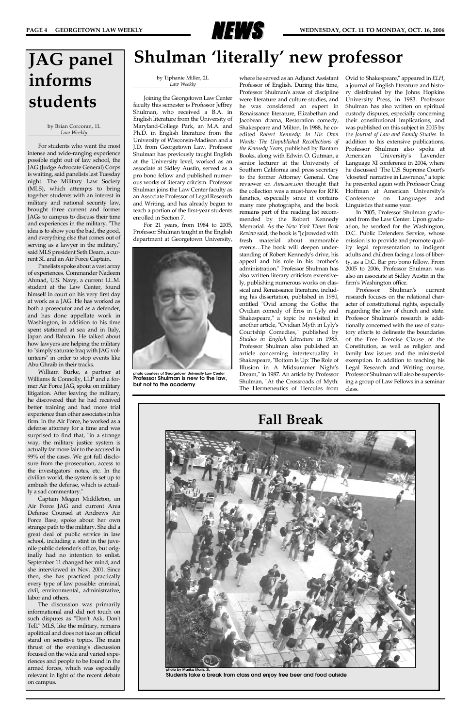

### **Shulman 'literally' new professor**

by Tiphanie Miller, 2L *Law Weekly*

Joining the Georgetown Law Center faculty this semester is Professor Jeffrey Shulman, who received a B.A. in English literature from the University of Maryland-College Park, an M.A. and Ph.D. in English literature from the University of Wisconsin-Madison and a J.D. from Georgetown Law. Professor Shulman has previously taught English at the University level, worked as an associate at Sidley Austin, served as a pro bono fellow and published numerous works of literary critcism. Professor Shulman joins the Law Center faculty as an Associate Professor of Legal Research and Writing, and has already begun to teach a portion of the first-year students enrolled in Section 7.

For 21 years, from 1984 to 2005, Professor Shulman taught in the English department at Georgetown University,

where he served as an Adjunct Assistant Professor of English. During this time, Professor Shulman's areas of discipline were literature and culture studies, and he was considered an expert in Renaissance literature, Elizabethan and Jacobean drama, Restoration comedy, Shakespeare and Milton. In 1988, he coedited *Robert Kennedy: In His Own Words: The Unpublished Recollections of the Kennedy Years*, published by Bantam Books, along with Edwin O. Gutman, a senior lecturer at the University of Southern California and press secretary to the former Attorney General. One reviewer on *Amazon.com* thought that the collection was a must-have for RFK fanatics, especially since it contains many rare photographs, and the book remains part of the reading list recommended by the Robert Kennedy Memorial. As the *New York Times Book Review* said, the book is "[c]rowded with fresh material about memorable events…The book will deepen understanding of Robert Kennedy's drive, his appeal and his role in his brother's administration." Professor Shulman has also written literary criticism extensively, publishing numerous works on classical and Renaissance literature, including his dissertation, published in 1980, entitled "Ovid among the Goths: the Ovidian comedy of Eros in Lyly and Shakespeare," a topic he revisited in another article, "Ovidian Myth in Lyly's Courtship Comedies," published by *Studies in English Literature* in 1985. Professor Shulman also published an article concerning intertextuality in Shakespeare, "Bottom Is Up: The Role of Illusion in A Midsummer Night's Dream," in 1987. An article by Professor Shulman, "At the Crossroads of Myth: The Hermeneutics of Hercules from

Ovid to Shakespeare," appeared in *ELH*, a journal of English literature and history distributed by the Johns Hopkins University Press, in 1983. Professor Shulman has also written on spiritual custody disputes, especially concerning their constitutional implications, and was published on this subject in 2005 by the *Journal of Law and Family Studies.* In addition to his extensive publications, Professor Shulman also spoke at American University's Lavender Language XI conference in 2004, where he discussed "The U.S. Supreme Court's 'closeted' narrative in Lawrence," a topic he presented again with Professor Craig Hoffman at American University's Conference on Languages and Linguistics that same year.

In 2005, Professor Shulman graduated from the Law Center. Upon graduation, he worked for the Washington, D.C. Public Defenders Service, whose mission is to provide and promote quality legal representation to indigent adults and children facing a loss of liberty, as a D.C. Bar pro bono fellow. From 2005 to 2006, Professor Shulman was also an associate at Sidley Austin in the firm's Washington office.

Professor Shulman's current research focuses on the relational character of constitutional rights, especially regarding the law of church and state. Professor Shulman's research is additionally concerned with the use of statutory efforts to delineate the boundaries of the Free Exercise Clause of the Constitution, as well as religion and family law issues and the ministerial exemption. In addition to teaching his Legal Research and Writing course, Professor Shulman will also be supervising a group of Law Fellows in a seminar class.



**photo courtesy of Georgetown University Law Center Professor Shulman is new to the law, but not to the academy**

### **JAG panel informs students**

#### by Brian Corcoran, 1L *Law Weekly*

For students who want the most intense and wide-ranging experience possible right out of law school, the JAG (Judge Advocate General) Corps is waiting, said panelists last Tuesday night. The Military Law Society (MLS), which attempts to bring together students with an interest in military and national security law, brought three current and former JAGs to campus to discuss their time and experiences in the military. "The idea is to show you the bad, the good, and everything else that comes out of serving as a lawyer in the military," said MLS president Seth Deam, a current 3L and an Air Force Captain.

Panelists spoke about a vast array of experiences. Commander Nadeem Ahmad, U.S. Navy, a current LL.M. student at the Law Center, found himself in court on his very first day at work as a JAG. He has worked as both a prosecutor and as a defender, and has done appellate work in Washington, in addition to his time spent stationed at sea and in Italy, Japan and Bahrain. He talked about how lawyers are helping the military to "simply saturate Iraq with JAG volunteers" in order to stop events like Abu Ghraib in their tracks.

William Burke, a partner at Williams & Connolly, LLP and a former Air Force JAG, spoke on military litigation. After leaving the military, he discovered that he had received better training and had more trial experience than other associates in his firm. In the Air Force, he worked as a defense attorney for a time and was surprised to find that, "in a strange way, the military justice system is actually far more fair to the accused in 99% of the cases. We got full disclosure from the prosecution, access to the investigators' notes, etc. In the civilian world, the system is set up to ambush the defense, which is actually a sad commentary."

Captain Megan Middleton, an Air Force JAG and current Area Defense Counsel at Andrews Air Force Base, spoke about her own strange path to the military. She did a great deal of public service in law school, including a stint in the juvenile public defender's office, but originally had no intention to enlist. September 11 changed her mind, and she interviewed in Nov. 2001. Since then, she has practiced practically every type of law possible: criminal, civil, environmental, administrative, labor and others. The discussion was primarily informational and did not touch on such disputes as "Don't Ask, Don't Tell." MLS, like the military, remains apolitical and does not take an official stand on sensitive topics. The main thrust of the evening's discussion focused on the wide and varied experiences and people to be found in the armed forces, which was especially relevant in light of the recent debate on campus.



**photo by Marika Maris, 3L Students take a break from class and enjoy free beer and food outside**

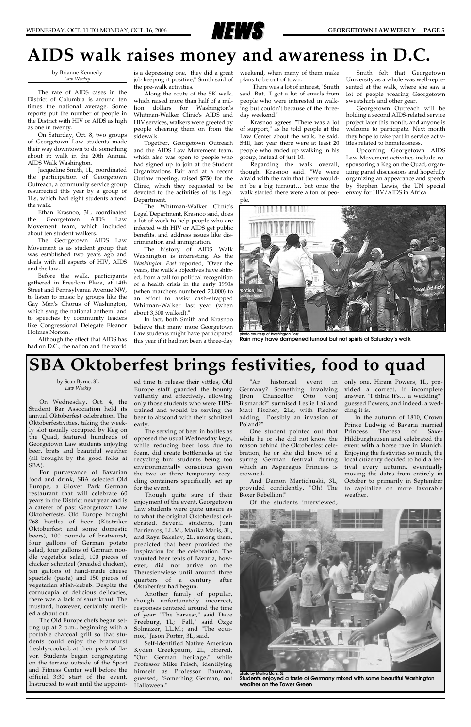

### **AIDS walk raises money and awareness in D.C.**

by Brianne Kennedy *Law Weekly*

The rate of AIDS cases in the District of Columbia is around ten times the national average. Some reports put the number of people in the District with HIV or AIDS as high as one in twenty.

On Saturday, Oct. 8, two groups of Georgetown Law students made their way downtown to do something about it: walk in the 20th Annual AIDS Walk Washington.

Jacqueline Smith, 1L, coordinated the participation of Georgetown Outreach, a community service group resurrected this year by a group of 1Ls, which had eight students attend the walk.

Ethan Krasnoo, 3L, coordinated the Georgetown AIDS Law Movement team, which included about ten student walkers.

The Georgetown AIDS Law Movement is as student group that was established two years ago and deals with all aspects of HIV, AIDS and the law.

Before the walk, participants gathered in Freedom Plaza, at 14th Street and Pennsylvania Avenue NW, to listen to music by groups like the Gay Men's Chorus of Washington, which sang the national anthem, and to speeches by community leaders like Congressional Delegate Eleanor Holmes Norton.

Although the effect that AIDS has had on D.C., the nation and the world

job keeping it positive," Smith said of the pre-walk activities.

Along the route of the 5K walk, which raised more than half of a million dollars for Washington's Whitman-Walker Clinic's AIDS and HIV services, walkers were greeted by people cheering them on from the sidewalk.

Together, Georgetown Outreach and the AIDS Law Movement team, which also was open to people who had signed up to join at the Student Organizations Fair and at a recent Outlaw meeting, raised \$750 for the Clinic, which they requested to be devoted to the activities of its Legal Department.

is a depressing one, "they did a great weekend, when many of them make plans to be out of town.

The Whitman-Walker Clinic's Legal Department, Krasnoo said, does a lot of work to help people who are infected with HIV or AIDS get public benefits, and address issues like discrimination and immigration.

The history of AIDS Walk Washington is interesting. As the *Washington Post* reported, "Over the years, the walk's objectives have shifted, from a call for political recognition of a health crisis in the early 1990s (when marchers numbered 20,000) to an effort to assist cash-strapped Whitman-Walker last year (when about 3,300 walked)."

In fact, both Smith and Krasnoo believe that many more Georgetown Law students might have participated this year if it had not been a three-day

"There was a lot of interest," Smith said. But, "I got a lot of emails from people who were interested in walking but couldn't because of the threeday weekend."

Krasnoo agrees. "There was a lot of support," as he told people at the Law Center about the walk, he said. Still, last year there were at least 20 people who ended up walking in his group, instead of just 10.

Regarding the walk overall, though, Krasnoo said, "We were afraid with the rain that there wouldn't be a big turnout… but once the walk started there were a ton of people."

Smith felt that Georgetown University as a whole was well-represented at the walk, where she saw a lot of people wearing Georgetown sweatshirts and other gear.

Georgetown Outreach will be holding a second AIDS-related service project later this month, and anyone is welcome to participate. Next month they hope to take part in service activities related to homelessness.

Upcoming Georgetown AIDS Law Movement activities include cosponsoring a Keg on the Quad, organizing panel discussions and hopefully organizing an appearance and speech by Stephen Lewis, the UN special envoy for HIV/AIDS in Africa.

by Sean Byrne, 3L *Law Weekly*

On Wednesday, Oct. 4, the Student Bar Association held its annual Oktoberfest celebration. The Oktoberfestivities, taking the weekly slot usually occupied by Keg on the Quad, featured hundreds of Georgetown Law students enjoying beer, brats and beautiful weather (all brought by the good folks at SBA).

For purveyance of Bavarian food and drink, SBA selected Old Europe, a Glover Park German restaurant that will celebrate 60 years in the District next year and is a caterer of past Georgetown Law Oktoberfests. Old Europe brought 768 bottles of beer (Köstriker Oktoberfest and some domestic beers), 100 pounds of bratwurst, four gallons of German potato salad, four gallons of German noodle vegetable salad, 100 pieces of chicken schnitzel (breaded chicken), ten gallons of hand-made cheese spaetzle (pasta) and 150 pieces of vegetarian shish-kebab. Despite the cornucopia of delicious delicacies, there was a lack of sauerkraut. The mustard, however, certainly merited a shout out. The Old Europe chefs began setting up at 2 p.m., beginning with a portable charcoal grill so that students could enjoy the bratwurst freshly-cooked, at their peak of flavor. Students began congregating on the terrace outside of the Sport and Fitness Center well before the official 3:30 start of the event. Instructed to wait until the appoint-

ed time to release their vittles, Old Europe staff guarded the bounty valiantly and effectively, allowing only those students who were TIPStrained and would be serving the beer to abscond with their schnitzel early.

The serving of beer in bottles as opposed the usual Wednesday kegs, while reducing beer loss due to foam, did create bottlenecks at the recycling bin: students being too environmentally conscious given the two or three temporary recycling containers specifically set up for the event.

Though quite sure of their enjoyment of the event, Georgetown Law students were quite unsure as to what the original Oktoberfest celebrated. Several students, Juan Barrientos, LL.M., Marika Maris, 3L, and Raya Bakalov, 2L, among them, predicted that beer provided the inspiration for the celebration. The vaunted beer tents of Bavaria, however, did not arrive on the Theresienwiese until around three quarters of a century after Oktoberfest had begun. Another family of popular, though unfortunately incorrect, responses centered around the time of year: "The harvest," said Dave Freeburg, 1L; "Fall," said Ozge Solmazer, LL.M.; and "The equinox," Jason Porter, 3L, said. Self-identified Native American Kyden Creekpaum, 2L, offered, "Our German heritage," while Professor Mike Frisch, identifying himself as Professor Bauman, guessed, "Something German, not Halloween."

"An historical event in Germany? Something involving [Iron Chancellor Otto von] Bismarck?" surmised Leslie Lai and Matt Fischer, 2Ls, with Fischer adding, "Possibly an invasion of Poland?"

One student pointed out that while he or she did not know the reason behind the Oktoberfest celebration, he or she did know of a spring German festival during which an Asparagus Princess is crowned.

And Damon Martichuski, 3L, provided confidently, "Oh! The Boxer Rebellion!"

Of the students interviewed,



only one, Hiram Powers, 1L, provided a correct, if incomplete answer. "I think it's… a wedding?" guessed Powers, and indeed, a wedding it is.

In the autumn of 1810, Crown Prince Ludwig of Bavaria married Princess Theresa of Saxe-Hildburghausen and celebrated the event with a horse race in Munich. Enjoying the festivities so much, the local citizenry decided to hold a festival every autumn, eventually moving the dates from entirely in October to primarily in September to capitalize on more favorable weather.

### **SBA Oktoberfest brings festivities, food to quad**



**photo courtesy of** *Washington Post* **Rain may have dampened turnout but not spirits at Saturday's walk**

**photo by Marika Maris, 3L Students enjoyed a taste of Germany mixed with some beautiful Washington weather on the Tower Green**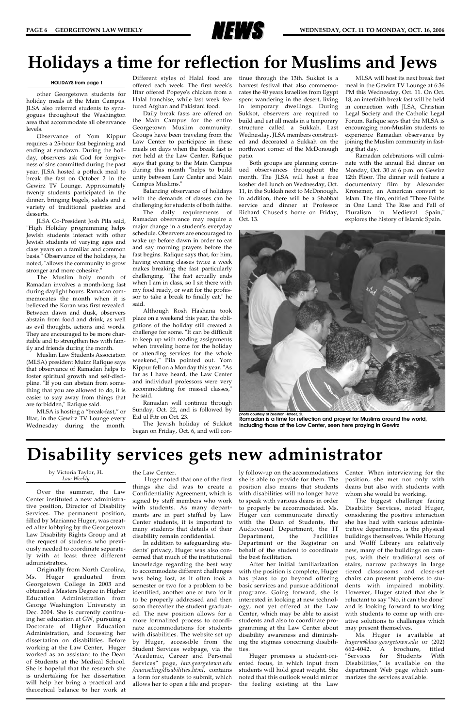

other Georgetown students for holiday meals at the Main Campus. JLSA also referred students to synagogues throughout the Washington area that accommodate all observance levels.

Observance of Yom Kippur requires a 25-hour fast beginning and ending at sundown. During the holiday, observers ask God for forgiveness of sins committed during the past year. JLSA hosted a potluck meal to break the fast on October 2 in the Gewirz TV Lounge. Approximately twenty students participated in the dinner, bringing bagels, salads and a variety of traditional pastries and desserts.

JLSA Co-President Josh Pila said, "High Holiday programming helps Jewish students interact with other Jewish students of varying ages and class years on a familiar and common basis." Observance of the holidays, he noted, "allows the community to grow stronger and more cohesive."

The Muslim holy month of Ramadan involves a month-long fast during daylight hours. Ramadan commemorates the month when it is believed the Koran was first revealed. Between dawn and dusk, observers abstain from food and drink, as well as evil thoughts, actions and words. They are encouraged to be more charitable and to strengthen ties with family and friends during the month.

Muslim Law Students Association (MLSA) president Muizz Rafique says that observance of Ramadan helps to foster spiritual growth and self-discipline. "If you can abstain from something that you are allowed to do, it is easier to stay away from things that are forbidden," Rafique said.

MLSA is hosting a "break-fast," or Iftar, in the Gewirz TV Lounge every Wednesday during the month.

Different styles of Halal food are offered each week. The first week's Iftar offered Popeye's chicken from a Halal franchise, while last week featured Afghan and Pakistani food.

Daily break fasts are offered on the Main Campus for the entire Georgetown Muslim community. Groups have been traveling from the Law Center to participate in these meals on days when the break fast is not held at the Law Center. Rafique says that going to the Main Campus during this month "helps to build unity between Law Center and Main Campus Muslims."

Balancing observance of holidays with the demands of classes can be challenging for students of both faiths.

The daily requirements of Ramadan observance may require a major change in a student's everyday schedule. Observers are encouraged to wake up before dawn in order to eat and say morning prayers before the fast begins. Rafique says that, for him, having evening classes twice a week makes breaking the fast particularly challenging. "The fast actually ends when I am in class, so I sit there with my food ready, or wait for the professor to take a break to finally eat," he said.

Although Rosh Hashana took place on a weekend this year, the obligations of the holiday still created a challenge for some. "It can be difficult to keep up with reading assignments when traveling home for the holiday or attending services for the whole weekend," Pila pointed out. Yom Kippur fell on a Monday this year. "As far as I have heard, the Law Center and individual professors were very accommodating for missed classes," he said.

Ramadan will continue through Sunday, Oct. 22, and is followed by Eid ul Fitr on Oct. 23.

The Jewish holiday of Sukkot began on Friday, Oct. 6, and will continue through the 13th. Sukkot is a harvest festival that also commemorates the 40 years Israelites from Egypt spent wandering in the desert, living in temporary dwellings. During Sukkot, observers are required to build and eat all meals in a temporary structure called a Sukkah. Last Wednesday, JLSA members constructed and decorated a Sukkah on the northwest corner of the McDonough patio.

Both groups are planning continued observances throughout the month. The JLSA will host a free kosher deli lunch on Wednesday, Oct. 11, in the Sukkah next to McDonough. In addition, there will be a Shabbat service and dinner at Professor Richard Chused's home on Friday, Oct. 13.

MLSA will host its next break fast meal in the Gewirz TV Lounge at 6:36 PM this Wednesday, Oct. 11. On Oct. 18, an interfaith break fast will be held in connection with JLSA, Christian Legal Society and the Catholic Legal Forum. Rafique says that the MLSA is encouraging non-Muslim students to experience Ramadan observance by joining the Muslim community in fasting that day.

Ramadan celebrations will culminate with the annual Eid dinner on Monday, Oct. 30 at 6 p.m. on Gewirz 12th Floor. The dinner will feature a documentary film by Alexander Kronemer, an American convert to Islam. The film, entitled "Three Faiths in One Land: The Rise and Fall of Pluralism in Medieval Spain," explores the history of Islamic Spain.



**Ramadan is a time for reflection and prayer for Muslims around the world, including those at the Law Center, seen here praying in Gewirz**

#### **HOLIDAYS from page 1**

### **Holidays a time for reflection for Muslims and Jews**

### **Disability services gets new administrator**

by Victoria Taylor, 3L *Law Weekly*

Over the summer, the Law Center instituted a new administrative position, Director of Disability Services. The permanent position, filled by Marianne Huger, was created after lobbying by the Georgetown Law Disability Rights Group and at the request of students who previously needed to coordinate separately with at least three different administrators. Originally from North Carolina, Ms. Huger graduated from Georgetown College in 2003 and obtained a Masters Degree in Higher Education Administration from George Washington University in Dec. 2004. She is currently continuing her education at GW, pursuing a Doctorate of Higher Education Administration, and focussing her dissertation on disabilities. Before working at the Law Center, Huger worked as an assistant to the Dean of Students at the Medical School. She is hopeful that the research she is undertaking for her dissertation will help her bring a practical and theoretical balance to her work at

the Law Center.

Huger noted that one of the first things she did was to create a Confidentiality Agreement, which is signed by staff members who work with students. As many departments are in part staffed by Law Center students, it is important to many students that details of their disability remain confidential. In addition to safeguarding students' privacy, Huger was also concerned that much of the institutional knowledge regarding the best way to accommodate different challenges was being lost, as it often took a semester or two for a problem to be identified, another one or two for it to be properly addressed and then soon thereafter the student graduated. The new position allows for a more formalized process to coordinate accommodations for students with disabilities. The website set up by Huger, accessible from the Student Services webpage, via the "Academic, Career and Personal Services" page, *law.georgetown.edu /counseling/disabilities.html*, contains a form for students to submit, which allows her to open a file and proper-

ly follow-up on the accommodations she is able to provide for them. The position also means that students with disabilities will no longer have to speak with various deans in order to properly be accommodated. Ms. Huger can communicate directly with the Dean of Students, the Audiovisual Department, the IT

Department, the Facilities Department or the Registrar on behalf of the student to coordinate the best facilitation.

After her initial familiarization with the position is complete, Huger has plans to go beyond offering basic services and pursue additional programs. Going forward, she is interested in looking at new technology, not yet offered at the Law Center, which may be able to assist students and also to coordinate programming at the Law Center about disability awareness and diminishing the stigmas concerning disabilities.

Huger promises a student-oriented focus, in which input from students will hold great weight. She noted that this outlook would mirror the feeling existing at the Law Center. When interviewing for the position, she met not only with deans but also with students with whom she would be working.

The biggest challenge facing Disability Services, noted Huger, considering the positive interaction she has had with various administrative departments, is the physical buildings themselves. While Hotung and Wolff Library are relatively new, many of the buildings on campus, with their traditional sets of stairs, narrow pathways in large tiered classrooms and close-set chairs can present problems to students with impaired mobility. However, Huger stated that she is reluctant to say "No, it can't be done" and is looking forward to working with students to come up with creative solutions to challenges which may present themselves. Ms. Huger is available at *hugerm@law.georgetown.edu* or (202) 662-4042. A brochure, titled "Services for Students With Disabilities," is available on the department Web page which summarizes the services available.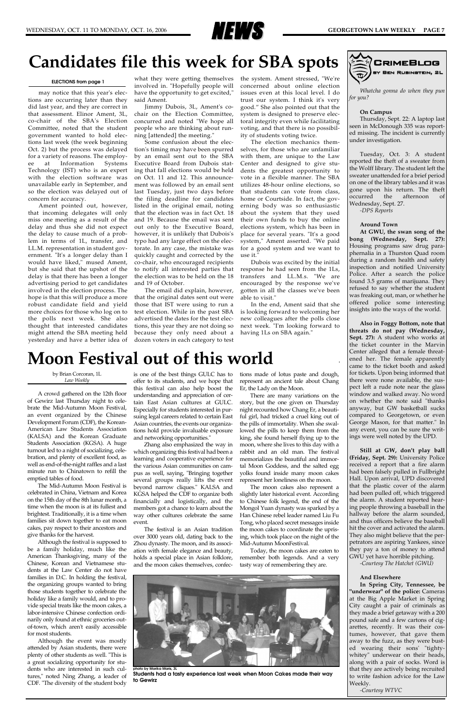

*Whatcha gonna do when they pun for you?*

#### **On Campus**

Thursday, Sept. 22: A laptop last seen in McDonough 335 was reported missing. The incident is currently under investigation.

Tuesday, Oct. 3: A student reported the theft of a sweater from the Wolff library. The student left the sweater unattended for a brief period on one of the library tables and it was gone upon his return. The theft occurred the afternoon of Wednesday, Sept. 27. *-DPS Reports*

### **Around Town**

**At GWU, the swan song of the bong (Wednesday, Sept. 27):** Housing programs saw drug paraphernalia in a Thurston Quad room during a random health and safety inspection and notified University Police. After a search the police found 3.5 grams of marijuana. They refused to say whether the student was freaking out, man, or whether he offered police some interesting insights into the ways of the world.

**Also in Foggy Bottom, note that threats do not pay (Wednesday, Sept. 27):** A student who works at the ticket counter in the Marvin Center alleged that a female threatened her. The female apparently came to the ticket booth and asked for tickets. Upon being informed that there were none available, the suspect left a rude note near the glass window and walked away. No word on whether the note said "thanks anyway, but GW basketball sucks compared to Georgetown, or even George Mason, for that matter." In any event, you can be sure the writings were well noted by the UPD.

**Still at GW, don't play ball (Friday, Sept. 29):** University Police received a report that a fire alarm had been falsely pulled in Fullbright Hall. Upon arrival, UPD discovered that the plastic cover of the alarm had been pulled off, which triggered the alarm. A student reported hearing people throwing a baseball in the hallway before the alarm sounded, and thus officers believe the baseball hit the cover and activated the alarm. They also might believe that the perpetrators are aspiring Yankees, since they pay a ton of money to attend GWU yet have horrible pitching. *-Courtesy The Hatchet (GWU)*

#### **And Elsewhere**

**In Spring City, Tennessee, be "underwear" of the police:** Cameras at the Big Apple Market in Spring City caught a pair of criminals as they made a brief getaway with a 200 pound safe and a few cartons of cigarettes, recently. It was their costumes, however, that gave them away to the fuzz, as they were busted wearing their sons' "tightywhitey" underwear on their heads, along with a pair of socks. Word is that they are actively being recruited to write fashion advice for the Law Weekly.

*-Courtesy WTVC*



### **Candidates file this week for SBA spots**

may notice that this year's elections are occurring later than they did last year, and they are correct in that assessment. Elinor Ament, 3L, co-chair of the SBA's Election Committee, noted that the student government wanted to hold elections last week (the week beginning Oct. 2) but the process was delayed for a variety of reasons. The employee at Information Systems Technology (IST) who is an expert with the election software was unavailable early in September, and so the election was delayed out of concern for accuracy.

Ament pointed out, however, that incoming delegates will only miss one meeting as a result of the delay and thus she did not expect the delay to cause much of a problem in terms of 1L, transfer, and LL.M. representation in student government. "It's a longer delay than I would have liked," mused Ament, but she said that the upshot of the delay is that there has been a longer advertising period to get candidates involved in the election process. The hope is that this will produce a more robust candidate field and yield more choices for those who log on to the polls next week. She also thought that interested candidates might attend the SBA meeting held yesterday and have a better idea of

what they were getting themselves involved in. "Hopefully people will have the opportunity to get excited," said Ament.

Jimmy Dubois, 3L, Ament's cochair on the Election Committee, concurred and noted "We hope all people who are thinking about running [attended] the meeting."

Some confusion about the election's timing may have been spurred by an email sent out to the SBA Executive Board from Dubois stating that fall elections would be held on Oct. 11 and 12. This announcement was followed by an email sent last Tuesday, just two days before the filing deadline for candidates listed in the original email, noting that the election was in fact Oct. 18 and 19. Because the email was sent out only to the Executive Board, however, it is unlikely that Dubois's typo had any large effect on the electorate. In any case, the mistake was quickly caught and corrected by the co-chair, who encouraged recipients to notify all interested parties that the election was to be held on the 18 and 19 of October.

The email did explain, however, that the original dates sent out were those that IST were using to run a test election. While in the past SBA advertised the dates for the test elections, this year they are not doing so because they only need about a dozen voters in each category to test

the system. Ament stressed, "We're concerned about online election issues even at this local level. I do trust our system. I think it's very good." She also pointed out that the system is designed to preserve electoral integrity even while facilitating voting, and that there is no possibility of students voting twice.

The election mechanics themselves, for those who are unfamiliar with them, are unique to the Law Center and designed to give students the greatest opportunity to vote in a flexible manner. The SBA utilizes 48-hour online elections, so that students can vote from class, home or Courtside. In fact, the governing body was so enthusiastic about the system that they used their own funds to buy the online elections system, which has been in place for several years. "It's a good system," Ament asserted. "We paid for a good system and we want to use it."

Dubois was excited by the initial response he had seen from the 1Ls, transfers and LL.M.s. "We are encouraged by the response we've gotten in all the classes we've been able to visit."

In the end, Ament said that she is looking forward to welcoming her new colleagues after the polls close next week. "I'm looking forward to having 1Ls on SBA again."

#### **ELECTIONS from page 1**

#### by Brian Corcoran, 1L *Law Weekly*

A crowd gathered on the 12th floor of Gewirz last Thursday night to celebrate the Mid-Autumn Moon Festival, an event organized by the Chinese Development Forum (CDF), the Korean-American Law Students Association (KALSA) and the Korean Graduate Students Association (KGSA). A huge turnout led to a night of socializing, celebration, and plenty of excellent food, as well as end-of-the-night raffles and a last minute run to Chinatown to refill the emptied tables of food.

The Mid-Autumn Moon Festival is celebrated in China, Vietnam and Korea on the 15th day of the 8th lunar month, a time when the moon is at its fullest and brightest. Traditionally, it is a time when families sit down together to eat moon cakes, pay respect to their ancestors and give thanks for the harvest. Although the festival is supposed to be a family holiday, much like the American Thanksgiving, many of the Chinese, Korean and Vietnamese students at the Law Center do not have families in D.C. In holding the festival, the organizing groups wanted to bring those students together to celebrate the holiday like a family would, and to provide special treats like the moon cakes, a labor-intensive Chinese confection ordinarily only found at ethnic groceries outof-town, which aren't easily accessible for most students. Although the event was mostly attended by Asian students, there were plenty of other students as well. "This is a great socializing opportunity for students who are interested in such cultures," noted Ning Zhang, a leader of CDF. "The diversity of the student body

is one of the best things GULC has to offer to its students, and we hope that this festival can also help boost the understanding and appreciation of certain East Asian cultures at GULC. Especially for students interested in pursuing legal careers related to certain East Asian countries, the events our organizations hold provide invaluable exposure and networking opportunities."

Zhang also emphasized the way in which organizing this festival had been a learning and cooperative experience for the various Asian communities on campus as well, saying, "Bringing together several groups really lifts the event beyond narrow cliques." KALSA and KGSA helped the CDF to organize both financially and logistically, and the members got a chance to learn about the way other cultures celebrate the same event.

The festival is an Asian tradition

over 3000 years old, dating back to the Zhou dynasty. The moon, and its association with female elegance and beauty, holds a special place in Asian folklore, and the moon cakes themselves, confections made of lotus paste and dough, represent an ancient tale about Chang Er, the Lady on the Moon.

There are many variations on the story, but the one given on Thursday night recounted how Chang Er, a beautiful girl, had tricked a cruel king out of the pills of immortality. When she swallowed the pills to keep them from the king, she found herself flying up to the moon, where she lives to this day with a rabbit and an old man. The festival memorializes the beautiful and immortal Moon Goddess, and the salted egg yolks found inside many moon cakes represent her loneliness on the moon.

The moon cakes also represent a slightly later historical event. According to Chinese folk legend, the end of the Mongol Yuan dynasty was sparked by a Han Chinese rebel leader named Liu Fu Tong, who placed secret messages inside the moon cakes to coordinate the uprising, which took place on the night of the Mid-Autumn MoonFestival.

Today, the moon cakes are eaten to remember both legends. And a very tasty way of remembering they are.

### **Moon Festival out of this world**



**photo by Marika Maris, 3L Students had a tasty experience last week when Moon Cakes made their way to Gewirz**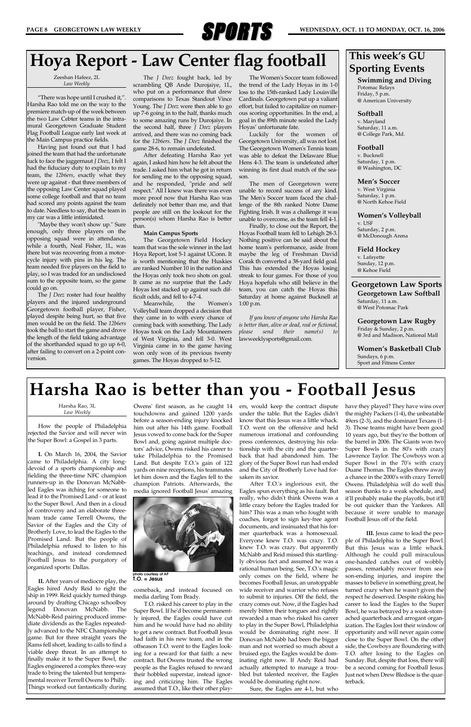

#### Harsha Rao, 3L *Law Weekly*

How the people of Philadelphia rejected the Savior and will never win the Super Bowl: a Gospel in 3 parts.

**I.** On March 16, 2004, the Savior came to Philadelphia. A city longdevoid of a sports championship and fielding the three-time NFC champion runners-up in the Donovan McNabbled Eagles was itching for someone to lead it to the Promised Land - or at least to the Super Bowl. And then in a cloud of controversy and an elaborate threeteam trade came Terrell Owens, the Savior of the Eagles and the City of Brotherly Love, to lead the Eagles to the Promised Land. But the people of Philadelphia refused to listen to his teachings, and instead condemned Football Jesus to the purgatory of organized sports: Dallas.

**II.** After years of mediocre play, the Eagles hired Andy Reid to right the ship in 1999. Reid quickly turned things around by drafting Chicago schoolboy legend Donovan McNabb. The McNabb-Reid pairing produced immediate dividends as the Eagles repeatedly advanced to the NFC Championship game. But for three straight years the Rams fell short, leading to calls to find a viable deep threat. In an attempt to finally make it to the Super Bowl, the Eagles engineered a complex three-way trade to bring the talented but temperamental receiver Terrell Owens to Philly. Things worked out fantastically during

Owens' first season, as he caught 14 touchdowns and gained 1200 yards before a season-ending injury knocked him out after his 14th game. Football Jesus vowed to come back for the Super Bowl and, going against multiple doctors' advice, Owens risked his career to take Philadelphia to the Promised Land. But despite T.O.'s gain of 122 yards on nine receptions, his teammates let him down and the Eagles fell to the champion Patriots. Afterwards, the media ignored Football Jesus' amazing



comeback, and instead focused on media darling Tom Brady.

T.O. risked his career to play in the Super Bowl. If he'd become permanently injured, the Eagles could have cut him and he would have had no ability to get a new contract. But Football Jesus had faith in his new team, and in the offseason T.O. went to the Eagles looking for a reward for that faith: a new contract. But Owens trusted the wrong people as the Eagles refused to reward their hobbled superstar, instead ignoring and criticizing him. The Eagles assumed that T.O., like their other players, would keep the contract dispute under the table. But the Eagles didn't know that this Jesus was a little whack. T.O. went on the offensive and held numerous irrational and confounding press conferences, destroying his relationship with the city and the quarterback that had abandoned him. The glory of the Super Bowl run had ended and the City of Brotherly Love had forsaken its savior.

After T.O.'s inglorious exit, the Eagles spun everything as his fault. But really, who didn't think Owens was a little crazy before the Eagles traded for him? This was a man who fought with coaches, forgot to sign key-free agent documents, and insinuated that his forer quarterback was a homosexual. Everyone knew T.O. was crazy. T.O. knew T.O. was crazy. But apparently McNabb and Reid missed this startlingly obvious fact and assumed he was a rational human being. See, T.O.'s magic only comes on the field, where he becomes Football Jesus, an unstoppable wide receiver and warrior who refuses to submit to injuries. Off the field, the crazy comes out. Now, if the Eagles had merely bitten their tongues and rightly rewarded a man who risked his career to play in the Super Bowl, Philadelphia would be dominating right now. If Donovan McNabb had been the bigger man and not worried so much about a bruised ego, the Eagles would be dominating right now. If Andy Reid had actually attempted to manage a troubled but talented receiver, the Eagles would be dominating right now.

Sure, the Eagles are 4-1, but who

have they played? They have wins over the mighty Packers (1-4), the unbeatable 49ers (2-3), and the dominant Texans (1- 3). Those teams might have been good 10 years ago, but they're the bottom of the barrel in 2006. The Giants won two Super Bowls in the 80's with crazy Lawrence Taylor. The Cowboys won a Super Bowl in the 70's with crazy Duane Thomas. The Eagles threw away a chance in the 2000's with crazy Terrell Owens. Philadelphia will do well this season thanks to a weak schedule, and it'll probably make the playoffs, but it'll be out quicker than the Yankees. All because it were unable to manage Football Jesus off of the field.

**pto courtesy of A T.O. = Jesus**

**III.** Jesus came to lead the people of Philadelphia to the Super Bowl. But this Jesus was a little whack. Although he could pull miraculous one-handed catches out of wobbly passes, remarkably recover from season-ending injuries, and inspire the masses to believe in something great, he turned crazy when he wasn't given the respect he deserved. Despite risking his career to lead the Eagles to the Super Bowl, he was betrayed by a weak-stomached quarterback and arrogant organization. The Eagles lost their window of opportunity and will never again come close to the Super Bowl. On the other side, the Cowboys are floundering with T.O. after losing to the Eagles on Sunday. But, despite that loss, there will be a second coming for Football Jesus. Just not when Drew Bledsoe is the quarterback.

### **Harsha Rao is better than you - Football Jesus**

Zeeshan Hafeez, 2L *Law Weekly*

"There was hope until I crushed it,". Harsha Rao told me on the way to the premiere match-up of the week between the two Law Cebter teams in the intramural Georgetown Graduate Student Flag Football League early last week at the Main Campus practice fields.

Having just found out that I had joined the team that had the unfortunate luck to face the juggernaut *J Deez*, I felt I had the fiduciary duty to explain to my team, the *12b6ers*, exactly what they were up against - that three members of the opposing Law Center squad played some college football and that no team had scored any points against the team to date. Needless to say, that the team in my car was a little intimidated.

"Maybe they won't show up." Sure enough, only three players on the opposing squad were in attendance, while a fourth, Neal Fisher, 1L, was there but was recovering from a motorcycle injury with pins in his leg. The team needed five players on the field to play, so I was traded for an undisclosed sum to the opposite team, so the game could go on.

The *J Deez* roster had four healthy players and the injured underground Georgetown football player, Fisher, played despite being hurt, so that five men would be on the field. The *12b6ers* took the ball to start the game and drove the length of the field taking advantage of the shorthanded squad to go up 6-0, after failing to convert on a 2-point conversion.

The *J Deez* fought back, led by scrambling QB Ande Durojaiye, 1L, who put on a performance that drew comparisons to Texas Standout Vince Young. The *J Deez* were then able to go up 7-6 going in to the half, thanks much to some amazing runs by Durojaiye. In the second half, three *J Deez* players arrived, and there was no coming back for the *12b6ers*. The *J Deez* finished the game 28-6, to remain undefeated.

After defeating Harsha Rao yet again, I asked him how he felt about the trade. I asked him what he got in return for sending me to the opposing squad, and he responded, "pride and self respect." All I knew was there was even more proof now that Harsha Rao was definitely not better than me, and that people are still on the lookout for the person(s) whom Harsha Rao is better than.

#### **Main Campus Sports**

The Georgetown Field Hockey team that was the sole winner in the last Hoya Report, lost 5-1 against UConn. It is worth mentioning that the Huskies are ranked Number 10 in the nation and the Hoyas only took two shots on goal. It came as no surprise that the Lady Hoyas lost stacked up against such difficult odds, and fell to 4-7-4.

Meanwhile, the Women's Volleyball team dropped a decision that they came in to with every chance of coming back with something. The Lady Hoyas took on the Lady Mountaineers of West Virginia, and fell 3-0. West Virginia came in to the game having won only won of its previous twenty games. The Hoyas dropped to 5-12.

The Women's Soccer team followed the trend of the Lady Hoyas in its 1-0 loss to the 15th-ranked Lady Louisville Cardinals. Georgetown put up a valiant effort, but failed to capitalize on numerous scoring opportunities. In the end, a goal in the 89th minute sealed the Lady Hoyas' unfortunate fate.

Luckily for the women of Georgetown University, all was not lost. The Georgetown Women's Tennis team was able to defeat the Delaware Blue Hens 4-3. The team is undefeated after winning its first dual match of the season.

The men of Georgetown were unable to record success of any kind. The Men's Soccer team faced the challenge of the 8th ranked Notre Dame Fighting Irish. It was a challenge it was unable to overcome, as the team fell 4-1.

Finally, to close out the Report, the Hoyas Football team fell to Lehigh 28-3. Nothing positive can be said about the home team's performance, aside from maybe the leg of Freshman David Corak th converted a 38-yard field goal. This has extended the Hoyas losing streak to four games. For those of you Hoya hopefuls who still believe in the team, you can catch the Hoyas this Saturday at home against Bucknell at 1:00 p.m.

*If you know of anyone who Harsha Rao is better than, alive or dead, real or fictional, please send their name(s) to* lawweeklysports@gmail.com*.* 

### **Hoya Report - Law Center flag football**

**Swimming and Diving** Potomac Relays Friday, 5 p.m. @ American University

### **Softball**

v. Maryland Saturday, 11 a.m. @ College Park, Md.

#### **Football**

v. Bucknell Saturday, 1 p.m. @ Washington, DC

#### **Men's Soccer**

v. West Virginia Saturday, 1 p.m. @ North Kehoe Field

### **Women's Volleyball**

v. USF Saturday, 2 p.m. @ McDonough Arena

**Field Hockey** 

v. Lafayette Sunday, 12 p.m. @ Kehoe Field

### **Georgetown Law Sports Georgetown Law Softball**

Saturday, 11 a.m. @ West Potomac Park

**Georgetown Law Rugby** Friday & Sunday, 2 p.m. @ 3rd and Madison, National Mall

**Women's Basketball Club** Sundays, 6 p.m. Sport and Fitness Center

### **This week's GU Sporting Events**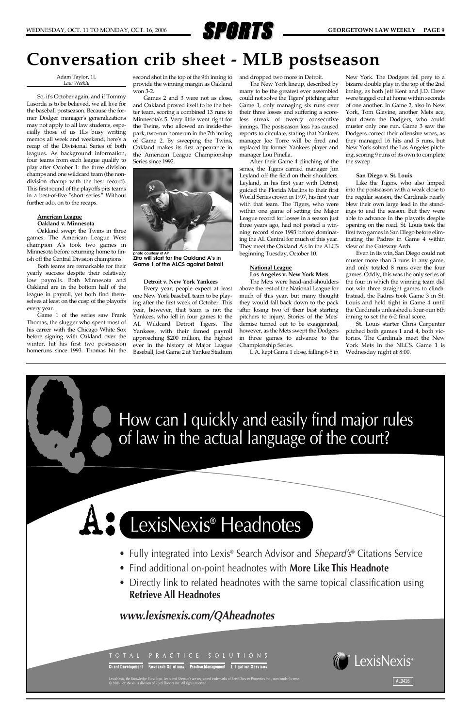

Adam Taylor, 1L *Law Weekly*

So, it's October again, and if Tommy Lasorda is to be believed, we all live for the baseball postseason. Because the former Dodger manager's generalizations may not apply to all law students, especially those of us 1Ls busy writing memos all week and weekend, here's a recap of the Divisional Series of both leagues. As background information, four teams from each league qualify to play after October 1: the three division champs and one wildcard team (the nondivision champ with the best record). This first round of the playoffs pits teams in a best-of-five "short series." Without further ado, on to the recaps.

### **American League Oakland v. Minnesota**

Oakland swept the Twins in three games. The American League West champion A's took two games in Minnesota before returning home to finish off the Central Division champions.

Both teams are remarkable for their yearly success despite their relatively low payrolls. Both Minnesota and Oakland are in the bottom half of the league in payroll, yet both find themselves at least on the cusp of the playoffs every year.

Game 1 of the series saw Frank Thomas, the slugger who spent most of his career with the Chicago White Sox before signing with Oakland over the winter, hit his first two postseason homeruns since 1993. Thomas hit the

second shot in the top of the 9th inning to provide the winning margin as Oakland won 3-2.

Games 2 and 3 were not as close, and Oakland proved itself to be the better team, scoring a combined 13 runs to Minnesota's 5. Very little went right for the Twins, who allowed an inside-thepark, two-run homerun in the 7th inning of Game 2. By sweeping the Twins, Oakland makes its first appearance in the American League Championship Series since 1992.

#### **Detroit v. New York Yankees**

Every year, people expect at least one New York baseball team to be playing after the first week of October. This year, however, that team is not the Yankees, who fell in four games to the AL Wildcard Detroit Tigers. The Yankees, with their famed payroll approaching \$200 million, the highest ever in the history of Major League Baseball, lost Game 2 at Yankee Stadium

and dropped two more in Detroit.

The New York lineup, described by many to be the greatest ever assembled could not solve the Tigers' pitching after Game 1, only managing six runs over their three losses and suffering a scoreless streak of twenty consecutive innings. The postseason loss has caused reports to circulate, stating that Yankees manager Joe Torre will be fired and replaced by former Yankees player and manager Lou Pinella.

- Fully integrated into Lexis<sup>®</sup> Search Advisor and Shepard's<sup>®</sup> Citations Service
- Find additional on-point headnotes with **More Like This Headnote**
- Directly link to related headnotes with the same topical classification using **Retrieve All Headnotes**

After their Game 4 clinching of the series, the Tigers carried manager Jim Leyland off the field on their shoulders. Leyland, in his first year with Detroit, guided the Florida Marlins to their first World Series crown in 1997, his first year with that team. The Tigers, who were within one game of setting the Major League record for losses in a season just three years ago, had not posted a winning record since 1993 before dominating the AL Central for much of this year. They meet the Oakland A's in the ALCS beginning Tuesday, October 10.

#### **National League Los Angeles v. New York Mets**

The Mets were head-and-shoulders above the rest of the National League for much of this year, but many thought they would fall back down to the pack after losing two of their best starting pitchers to injury. Stories of the Mets' demise turned out to be exaggerated, however, as the Mets swept the Dodgers in three games to advance to the Championship Series.

L.A. kept Game 1 close, falling 6-5 in

New York. The Dodgers fell prey to a bizarre double play in the top of the 2nd inning, as both Jeff Kent and J.D. Drew were tagged out at home within seconds of one another. In Game 2, also in New York, Tom Glavine, another Mets ace, shut down the Dodgers, who could muster only one run. Game 3 saw the Dodgers correct their offensive woes, as they managed 16 hits and 5 runs, but New York solved the Los Angeles pitching, scoring 9 runs of its own to complete the sweep.

#### **San Diego v. St. Louis**

Like the Tigers, who also limped into the postseason with a weak close to the regular season, the Cardinals nearly blew their own large lead in the standings to end the season. But they were able to advance in the playoffs despite opening on the road. St. Louis took the first two games in San Diego before eliminating the Padres in Game 4 within view of the Gateway Arch.

Even in its win, San Diego could not muster more than 3 runs in any game, and only totaled 8 runs over the four games. Oddly, this was the only series of the four in which the winning team did not win three straight games to clinch. Instead, the Padres took Game 3 in St. Louis and held tight in Game 4 until the Cardinals unleashed a four-run 6th inning to set the 6-2 final score.

St. Louis starter Chris Carpenter pitched both games 1 and 4, both victories. The Cardinals meet the New York Mets in the NLCS. Game 1 is Wednesday night at 8:00.

## **Conversation crib sheet - MLB postseason**



**photo courtesy of AP Zito will start for the Oakland A's in Game 1 of the ALCS against Detroit**



### *www.lexisnexis.com/QAheadnotes*

**Client Development** Research Solutions Practice Management Litigation Services



LexisNexis, the Knowledge Burst logo, Lexis and *Shepard's* are registered trademarks of Reed Elsevier Properties Inc., used under license.<br>© 2006 LexisNexis, a division of Reed Elsevier Inc. All rights reserved.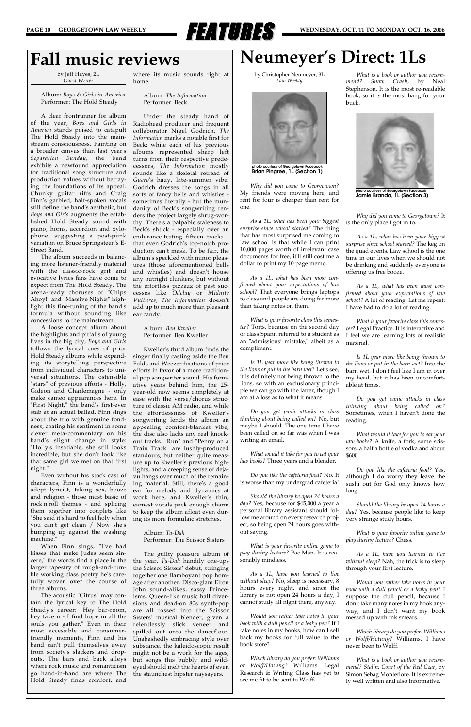

### **Fall music reviews**

by Jeff Hayes, 2L *Guest Writer*

Album: *Boys & Girls in America* Performer: The Hold Steady

A clear frontrunner for album of the year, *Boys and Girls in America* stands poised to catapult The Hold Steady into the mainstream consciousness. Painting on a broader canvas than last year's *Separation Sunday*, the band exhibits a newfound appreciation for traditional song structure and production values without betraying the foundations of its appeal. Chunky guitar riffs and Craig Finn's garbled, half-spoken vocals still define the band's aesthetic, but *Boys and Girls* augments the established Hold Steady sound with piano, horns, accordion and xylophone, suggesting a post-punk variation on Bruce Springsteen's E-Street Band.

The album succeeds in balancing more listener-friendly material with the classic-rock grit and evocative lyrics fans have come to expect from The Hold Steady. The arena-ready choruses of "Chips Ahoy!" and "Massive Nights" highlight this fine-tuning of the band's formula without sounding like concessions to the mainstream.

A loose concept album about the highlights and pitfalls of young lives in the big city, *Boys and Girls* follows the lyrical cues of prior Hold Steady albums while expanding its storytelling perspective from individual characters to universal situations. The ostensible "stars" of previous efforts - Holly, Gideon and Charlemagne - only make cameo appearances here. In "First Night," the band's first-ever stab at an actual ballad, Finn sings about the trio with genuine fondness, coating his sentiment in some clever meta-commentary on his band's slight change in style: "Holly's insatiable, she still looks incredible, but she don't look like that same girl we met on that first night."

Even without his stock cast of characters, Finn is a wonderfully adept lyricist, taking sex, booze and religion - those most basic of rock'n'roll themes - and splicing them together into couplets like "She said it's hard to feel holy when you can't get clean / Now she's bumping up against the washing

machine."

When Finn sings, "I've had kisses that make Judas seem sincere," the words find a place in the larger tapestry of rough-and-tumble working class poetry he's carefully woven over the course of three albums.

The acoustic "Citrus" may contain the lyrical key to The Hold Steady's career: "Hey bar-room, hey tavern - I find hope in all the souls you gather." Even in their most accessible and consumerfriendly moments, Finn and his band can't pull themselves away from society's slackers and dropouts. The bars and back alleys where rock music and romanticism go hand-in-hand are where The Hold Steady finds comfort, and

where its music sounds right at home.

> Album: *The Information* Performer: Beck

Under the steady hand of Radiohead producer and frequent collaborator Nigel Godrich, *The Information* marks a notable first for Beck: while each of his previous albums represented sharp left turns from their respective predecessors, *The Information* mostly sounds like a skeletal retread of *Guero*'s hazy, late-summer vibe. Godrich dresses the songs in all sorts of fancy bells and whistles sometimes literally - but the mundanity of Beck's songwriting renders the project largely shrug-worthy. There's a palpable staleness to Beck's shtick - especially over an endurance-testing fifteen tracks that even Godrich's top-notch production can't mask. To be fair, the album's speckled with minor pleasures (those aforementioned bells and whistles) and doesn't house any outright clunkers, but without the effortless pizzazz of past successes like *Odelay* or *Midnite Vultures*, *The Information* doesn't add up to much more than pleasant ear candy.

> Album: *Ben Kweller* Performer: Ben Kweller

Kweller's third album finds the singer finally casting aside the Ben Folds and Weezer fixations of prior efforts in favor of a more traditional pop songwriter sound. His formative years behind him, the 25 year-old now seems completely at ease with the verse/chorus structure of classic AM radio, and while the effortlessness of Kweller's songwriting lends the album an appealing comfort-blanket vibe, the disc also lacks any real knockout tracks. "Run" and "Penny on a Train Track" are lushly-produced standouts, but neither quite measure up to Kweller's previous highlights, and a creeping sense of dejavu hangs over much of the remaining material. Still, there's a good ear for melody and dynamics at work here, and Kweller's thin, earnest vocals pack enough charm to keep the album afloat even during its more formulaic stretches.

Album: *Ta-Dah*

Performer: The Scissor Sisters

The guilty pleasure album of the year, *Ta-Dah* handily one-ups the Scissor Sisters' debut, stringing together one flamboyant pop homage after another. Disco-glam Elton John sound-alikes, sassy Princeisms, Queen-like music hall diversions and dead-on 80s synth-pop are all tossed into the Scissor Sisters' musical blender, given a relentlessly slick veneer and spilled out onto the dancefloor. Unabashedly embracing style over substance, the kaleidoscopic result might not be a work for the ages, but songs this bubbly and wildeyed should melt the hearts of even the staunchest hipster naysayers.

### **Neumeyer's Direct: 1Ls**

by Christopher Neumeyer, 3L *Law Weekly*

*Why did you come to Georgetown?* My friends were moving here, and rent for four is cheaper than rent for one.

*As a 1L, what has been your biggest surprise since school started?* The thing that has most surprised me coming to law school is that while I can print 10,000 pages worth of irrelevant case documents for free, it'll still cost me a dollar to print my 10 page memo.

*As a 1L, what has been most confirmed about your expectations of law school?* That everyone brings laptops to class and people are doing far more than taking notes on them.

*What is your favorite class this semester?* Torts, because on the second day of class Spann referred to a student as an "admissions' mistake," albeit as a compliment.

*Is 1L year more like being thrown to the lions or put in the barn wet?* Let's see, it is definitely not being thrown to the lions, so with an exclusionary principle we can go with the latter, though I am at a loss as to what it means.

*Do you get panic attacks in class thinking about being called on?* No, but maybe I should. The one time I have been called on so far was when I was writing an email.

*What would it take for you to eat your law books?* Three years and a blender.

*Do you like the cafeteria food?* No. It is worse than my undergrad cafeteria!

*Should the library be open 24 hours a day?* Yes, because for \$45,000 a year a personal library assistant should follow me around on every research project, so being open 24 hours goes without saying.

*What is your favorite online game to play during lecture?* Pac Man. It is reasonably mindless.

*As a 1L, have you learned to live without sleep?* No, sleep is necessary, 8 hours every night, and since the library is not open 24 hours a day, I cannot study all night there, anyway.

*Would you rather take notes in your book with a dull pencil or a leaky pen?* If I take notes in my books, how can I sell back my books for full value to the book store?

*Which library do you prefer: Williams or Wolff/Hotung?* Williams. Legal Research & Writing Class has yet to see me fit to be sent to Wolff.

*What is a book or author you recommend? Snow Crash*, by Neal Stephenson. It is the most re-readable book, so it is the most bang for your buck.

*Why did you come to Georgetown?* It is the only place I got in to.

*As a 1L, what has been your biggest surprise since school started?* The keg on the quad events. Law school is the one time in our lives when we should not be drinking and suddenly everyone is offering us free booze.

*As a 1L, what has been most confirmed about your expectations of law school?* A lot of reading. Let me repeat: I have had to do a lot of reading.

*What is your favorite class this semester?* Legal Practice. It is interactive and I feel we are learning lots of realistic material.

*Is 1L year more like being thrown to the lions or put in the barn wet?* Into the barn wet. I don't feel like I am in over my head, but it has been uncomfortable at times.

*Do you get panic attacks in class thinking about being called on?* Sometimes, when I haven't done the reading.

*What would it take for you to eat your law books?* A knife, a fork, some scissors, a half a bottle of vodka and about \$600.

*Do you like the cafeteria food?* Yes, although I do worry they leave the sushi out for God only knows how long.

*Should the library be open 24 hours a day?* Yes, because people like to keep very strange study hours.

*What is your favorite online game to*

*play during lecture?* Chess.

*As a 1L, have you learned to live without sleep?* Nah, the trick is to sleep through your first lecture.

*Would you rather take notes in your book with a dull pencil or a leaky pen?* I suppose the dull pencil, because I don't take many notes in my book anyway, and I don't want my book messed up with ink smears.

*Which library do you prefer: Williams or Wolff/Hotung?* Williams. I have never been to Wolff.

*What is a book or author you recommend? Stalin: Court of the Red Czar*, by Simon Sebag Montefiore. It is extremely well written and also informative.



**Brian Pingree, 1L (Section 1)**



**Jamie Branda, 1L (Section 3)**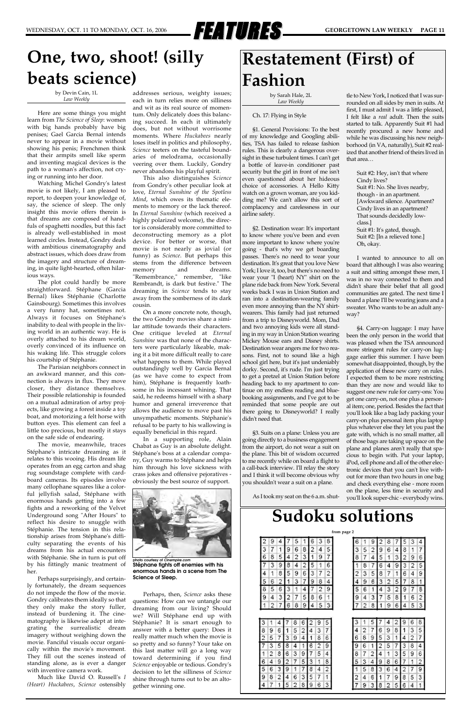

### **Restatement (First) of Fashion**

by Sarah Hale, 2L *Law Weekly*

### Ch. 17: Flying in Style

§1. General Provisions: To the best of my knowledge and Googling abilities, TSA has failed to release fashion rules. This is clearly a dangerous oversight in these turbulent times. I can't get a bottle of leave-in conditioner past security but the girl in front of me isn't even questioned about her hideous choice of accessories. A Hello Kitty watch on a grown woman, are you kidding me? We can't allow this sort of complacency and carelessness in our airline safety.

§2. Destination wear: It's important to know where you've been and even more important to know where you're going - that's why we get boarding passes. There's no need to wear your destination. It's great that you love New York; I love it, too, but there's no need to wear your "I (heart) NY" shirt on the plane ride back from New York. Several weeks back I was in Union Station and ran into a destination-wearing family even more annoying than the NY shirtwearers. This family had just returned from a trip to Disneyworld. Mom, Dad and two annoying kids were all standing in my way in Union Station wearing Mickey Mouse ears and Disney shirts. Destination wear angers me for two reasons. First, not to sound like a high school girl here, but it's just undeniably dorky. Second, it's rude. I'm just trying to get a pretzel at Union Station before heading back to my apartment to continue on my endless reading and bluebooking assignments, and I've got to be reminded that some people are out there going to Disneyworld? I really didn't need that.

§3. Suits on a plane: Unless you are going directly to a business engagement from the airport, do not wear a suit on the plane. This bit of wisdom occurred to me recently while on board a flight to a call-back interview. I'll relay the story and I think it will become obvious why you shouldn't wear a suit on a plane.

As I took my seat on the 6 a.m. shut-

tle to New York, I noticed that I was surrounded on all sides by men in suits. At first, I must admit I was a little pleased, I felt like a *real* adult. Then the suits started to talk. Apparently Suit #1 had recently procured a new home and while he was discussing his new neighborhood (in VA, naturally), Suit #2 realized that another friend of theirs lived in that area…

Suit #2: Hey, isn't that where Cindy lives? Suit #1: No. She lives nearby, though - in an apartment. [Awkward silence. Apartment? Cindy lives in an apartment? That sounds decidedly lowclass.] Suit #1: It's gated, though. Suit #2: [In a relieved tone.] Oh, okay.

I wanted to announce to all on board that although I was also wearing a suit and sitting amongst these men, I was in no way connected to them and didn't share their belief that all good communities are gated. The next time I board a plane I'll be wearing jeans and a sweater. Who wants to be an adult anyway?

§4. Carry-on luggage: I may have been the only person in the world that was pleased when the TSA announced more stringent rules for carry-on luggage earlier this summer. I have been somewhat disappointed, though, by the application of these new carry on rules. I expected them to be more restricting than they are now and would like to suggest one new rule for carry-ons: You get one carry-on, not one plus a personal item; one, period. Besides the fact that you'll look like a bag lady packing your carry-on plus personal item plus laptop plus whatever else they let you past the gate with, which is no small matter, all of those bags are taking up space on the plane and planes aren't really that spacious to begin with. Put your laptop, iPod, cell phone and all of the other electronic devices that you can't live without for more than two hours in one bag and check everything else - more room on the plane, less time in security and you'll look super-chic - everybody wins.

### **Sudoku solutions from page 2**

### **One, two, shoot! (silly beats science)**

by Devin Cain, 1L *Law Weekly*

Here are some things you might learn from *The Science of Sleep*: women with big hands probably have big penises; Gael Garcia Bernal intends never to appear in a movie without showing his penis; Frenchmen think that their armpits smell like sperm and inventing magical devices is the path to a woman's affection, not crying or running into her door.

Watching Michel Gondry's latest movie is not likely, I am pleased to report, to deepen your knowledge of, say, the science of sleep. The only insight this movie offers therein is that dreams are composed of handfuls of spaghetti noodles, but this fact is already well-established in most learned circles. Instead, Gondry deals with ambitious cinematography and abstract issues, which does draw from the imagery and structure of dreaming, in quite light-hearted, often hilarious ways.

The plot could hardly be more straightforward. Stéphane (Garcia Bernal) likes Stéphanie (Charlotte Gainsbourg). Sometimes this involves a very funny hat, sometimes not. Always it focuses on Stéphane's inability to deal with people in the living world in an authentic way. He is overly attached to his dream world, overly convinced of its influence on his waking life. This struggle colors his courtship of Stéphanie.

The Parisian neighbors connect in an awkward manner, and this connection is always in flux. They move closer, they distance themselves. Their possible relationship is founded on a mutual admiration of artsy projects, like growing a forest inside a toy boat, and motorizing a felt horse with button eyes. This element can feel a little too precious, but mostly it stays on the safe side of endearing.

The movie, meanwhile, traces Stéphane's intricate dreaming as it relates to this wooing. His dream life operates from an egg carton and shag rug soundstage complete with cardboard cameras. Its episodes involve many cellophane squares like a colorful jellyfish salad, Stéphane with enormous hands getting into a few fights and a reworking of the Velvet Underground song "After Hours" to reflect his desire to snuggle with Stéphanie. The tension in this relationship arises from Stéphane's difficulty separating the events of his dreams from his actual encounters with Stéphanie. She in turn is put off by his fittingly manic treatment of her. Perhaps surprisingly, and certainly fortunately, the dream sequences do not impede the flow of the movie. Gondry calibrates them ideally so that they only make the story fuller, instead of burdening it. The cinematography is likewise adept at integrating the surrealistic dream imagery without weighing down the movie. Fanciful visuals occur organically within the movie's movement. They fill out the scenes instead of standing alone, as is ever a danger with inventive camera work. Much like David O. Russell's *I (Heart) Huckabees*, *Science* ostensibly

addresses serious, weighty issues; each in turn relies more on silliness and wit as its real source of momentum. Only delicately does this balancing succeed. In each it ultimately does, but not without worrisome moments. Where *Huckabees* nearly loses itself in politics and philosophy, *Science* teeters on the tasteful boundaries of melodrama, occasionally veering over them. Luckily, Gondry never abandons his playful spirit.

This also distinguishes *Science* from Gondry's other peculiar look at love, *Eternal Sunshine of the Spotless Mind*, which owes its thematic elements to memory or the lack thereof. In *Eternal Sunshine* (which received a highly polarized welcome), the director is considerably more committed to deconstructing memory as a plot device. For better or worse, that movie is not nearly as jovial (or funny) as *Science*. But perhaps this stems from the difference between memory and dreams. "Remembrance," remember, "like Rembrandt, is dark but festive." The dreaming in *Science* tends to stay away from the somberness of its dark cousin.

On a more concrete note, though, the two Gondry movies share a similar attitude towards their characters. One critique leveled at *Eternal Sunshine* was that none of the characters were particularly likeable, making it a bit more difficult really to care what happens to them. While played outstandingly well by Garcia Bernal (as we have come to expect from him), Stéphane is frequently loathsome in his incessant whining. That said, he redeems himself with a sharp humor and general irreverence that allows the audience to move past his unsympathetic moments. Stéphanie's refusal to be party to his wallowing is equally beneficial in this regard.

In a supporting role, Alain Chabat as Guy is an absolute delight. Stéphane's boss at a calendar company, Guy warms to Stéphane and helps him through his love sickness with crass jokes and offensive pejoratives obviously the best source of support.



Perhaps, then, *Science* asks these questions: How can we untangle our dreaming from our living? Should we? Will Stéphane end up with Stéphanie? It is smart enough to answer with a better query: Does it really matter much when the movie is so pretty and so funny? Your take on this last matter will go a long way toward determining if you find *Science* enjoyable or tedious. Gondry's decision to let the silliness of *Science* shine through turns out to be an altogether winning one.

| 2      | 9 | 4      | t                       | 5      |        | 6 | 3      | 8      |
|--------|---|--------|-------------------------|--------|--------|---|--------|--------|
| 3      | 7 | 1      | 9                       | 6      | 8      | 2 | 4      | 5      |
| 6      | 8 | 5      |                         | 2      | 3      |   | 9      | 7      |
|        | 3 | 9      | 8                       | 4      | 2      |   |        | 6      |
| 4      |   | 8      | 5                       | 9      | 6      | 3 |        | 2      |
| 5      |   |        |                         | 3      | ı      |   |        | 4      |
| 8      |   |        |                         |        |        |   | 2      | 9      |
| 9      |   | 3      | $\overline{\mathbf{c}}$ |        | 5      | 8 | 6      | 1      |
|        |   |        |                         |        |        |   |        |        |
|        |   | 7      | 6                       | 8      | 9      | 4 | 5      | з      |
|        |   |        |                         |        |        |   |        |        |
| 3      |   |        |                         |        |        |   | 9      | 5      |
| 8<br>2 |   | 6<br>7 | 1<br>з                  | 5<br>9 | 2<br>4 | 1 | 3<br>8 | 7<br>6 |
|        |   | 5      | 8                       |        |        |   |        | 9      |
|        |   |        | 6                       | 3      | 9      |   | 5      | 4      |
|        |   | 8<br>9 | 2                       |        | 5      | З |        | 8      |
| 5      |   | 3      | 9                       |        | 7      |   |        | 2      |
| 6<br>9 | 8 | 2      | 4                       | 6      | з      | 5 | 1      | 1      |

| 6  |   |        |   |        |   |   | ٩ | 4      |
|----|---|--------|---|--------|---|---|---|--------|
| 3  |   | 2      | 9 | 6      | 4 | 8 |   | 7      |
| 8  |   | 4      | 5 |        | 3 | 2 | 9 | 6      |
|    |   |        |   | Δ      |   | з | y | 5      |
|    |   | 5      | 8 |        |   |   |   | 9      |
| ģ. |   | 6      | з |        | 5 |   | 8 | 1      |
|    |   |        |   | F      |   |   |   | 8      |
| 9  |   | 3      |   |        | 8 |   | 6 | 2      |
|    |   | 8      |   | 9      | 6 | 4 | 5 | 3      |
|    |   |        |   |        |   |   |   |        |
|    |   |        |   |        |   | q |   |        |
| 4  |   |        |   |        |   |   | ٩ | 8      |
| 6  | 8 | 7<br>9 | 6 | 9<br>З | 8 |   | 2 | 5<br>7 |
| g  |   |        |   |        |   | х |   | 4      |
| 8  |   | 2      | 4 |        | 3 |   |   | 6      |
| 5  | 3 |        |   | 8      | 6 |   |   | 2      |
|    |   | 8      | ٦ |        |   |   |   | 9      |
| 2  |   | 6      |   |        | 9 | 8 | 5 | 3      |

**photo courtesy of** *Cinempire.com* **Stéphane fights off enemies with his enormous hands in a scene from The Science of Sleep.**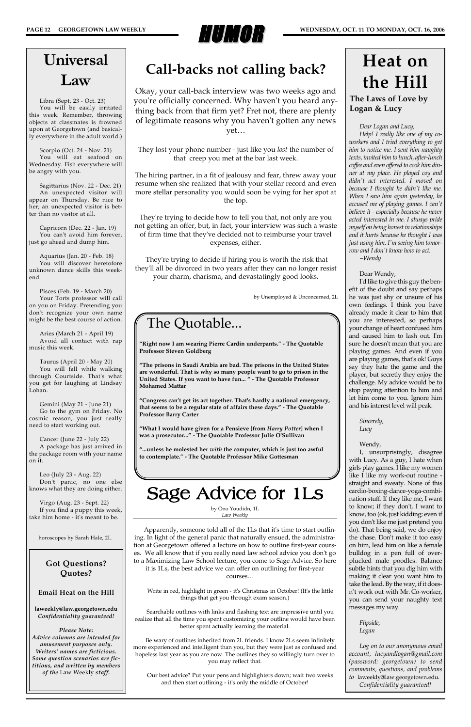

*Dear Logan and Lucy,*

*Help! I really like one of my coworkers and I tried everything to get him to notice me. I sent him naughty texts, invited him to lunch, after-lunch coffee and even offered to cook him dinner at my place. He played coy and didn't act interested. I moved on because I thought he didn't like me. When I saw him again yesterday, he accused me of playing games. I can't believe it - especially because he never acted interested in me. I always pride myself on being honest in relationships and it hurts because he thought I was just using him. I'm seeing him tomorrow and I don't know how to act. ~Wendy*

Dear Wendy,

I'd like to give this guy the benefit of the doubt and say perhaps he was just shy or unsure of his own feelings. I think you have already made it clear to him that you are interested, so perhaps your change of heart confused him and caused him to lash out. I'm sure he doesn't mean that you are playing games. And even if you are playing games, that's ok! Guys say they hate the game and the player, but secretly they enjoy the challenge. My advice would be to stop paying attention to him and let him come to you. Ignore him and his interest level will peak.

> *Sincerely, Lucy*

### Wendy,

I, unsurprisingly, disagree with Lucy. As a guy, I hate when girls play games. I like my women like I like my work-out routine straight and sweaty. None of this cardio-boxing-dance-yoga-combination stuff. If they like me, I want to know; if they don't, I want to know, too (ok, just kidding; even if you don't like me just pretend you do). That being said, we do enjoy the chase. Don't make it too easy on him, lead him on like a female bulldog in a pen full of overplucked male poodles. Balance subtle hints that you dig him with making it clear you want him to take the lead. By the way, if it doesn't work out with Mr. Co-worker, you can send your naughty text messages my way.

*Log on to our anonymous email account, lucyandlogan@gmail.com (password: georgetown) to send comments, questions, and problems to* laweekly@law.georgetown.edu*. Confidentiality guaranteed!*

### **The Laws of Love by Logan & Lucy**

## **Heat on the Hill**

### The Quotable...

**"Right now I am wearing Pierre Cardin underpants." - The Quotable Professor Steven Goldberg**

**"The prisons in Saudi Arabia are bad. The prisons in the United States are wonderful. That is why so many people want to go to prison in the United States. If you want to have fun... " - The Quotable Professor Mohamed Mattar**

**"Congress can't get its act together. That's hardly a national emergency, that seems to be a regular state of affairs these days." - The Quotable Professor Barry Carter**

**"What I would have given for a Pensieve [from** *Harry Potter***] when I was a prosecutor..." - The Quotable Professor Julie O'Sullivan**

**"...unless he molested her** *with* **the computer, which is just too awful to contemplate." - The Quotable Professor Mike Gottesman**

## Universal Law

Libra (Sept. 23 - Oct. 23) You will be easily irritated this week. Remember, throwing objects at classmates is frowned upon at Georgetown (and basically everywhere in the adult world.)

Scorpio (Oct. 24 - Nov. 21) You will eat seafood on Wednesday. Fish everywhere will be angry with you.

Sagittarius (Nov. 22 - Dec. 21) An unexpected visitor will appear on Thursday. Be nice to her; an unexpected visitor is better than no visitor at all.

Capricorn (Dec. 22 - Jan. 19) You can't avoid him forever, just go ahead and dump him.

Aquarius (Jan. 20 - Feb. 18) You will discover heretofore unknown dance skills this weekend.

Pisces (Feb. 19 - March 20) Your Torts professor will call on you on Friday. Pretending you don't recognize your own name might be the best course of action.

Aries (March 21 - April 19) Avoid all contact with rap music this week.

Taurus (April 20 - May 20) You will fall while walking through Courtside. That's what you get for laughing at Lindsay Lohan.

Gemini (May 21 - June 21) Go to the gym on Friday. No cosmic reason, you just really need to start working out.

Cancer (June 22 - July 22) A package has just arrived in the package room with your name on it.

Leo (July 23 - Aug. 22) Don't panic, no one else knows what they are doing either.

Virgo (Aug. 23 - Sept. 22) If you find a puppy this week, take him home - it's meant to be.

horoscopes by Sarah Hale, 2L.

**Got Questions? Quotes?**

**Email Heat on the Hill** 

**laweekly@law.georgetown.edu** *Confidentiality guaranteed!*

*Please Note: Advice columns are intended for amusement purposes only. Writers' names are ficticious. Some question scenarios are fictitious, and written by members of the* Law Weekly *staff.*

by Ono Youdidn, 1L *Law Weekly*

Apparently, someone told all of the 1Ls that it's time to start outlin-

ing. In light of the general panic that naturally ensued, the administration at Georgetown offered a lecture on how to outline first-year courses. We all know that if you really need law school advice you don't go to a Maximizing Law School lecture, you come to Sage Advice. So here it is 1Ls, the best advice we can offer on outlining for first-year courses…

Write in red, highlight in green - it's Christmas in October! (It's the little things that get you through exam season.)

Searchable outlines with links and flashing text are impressive until you realize that all the time you spent customizing your outline would have been better spent actually learning the material.

Be wary of outlines inherited from 2L friends. I know 2Ls seem infinitely more experienced and intelligent than you, but they were just as confused and hopeless last year as you are now. The outlines they so willingly turn over to you may reflect that.

Our best advice? Put your pens and highlighters down; wait two weeks and then start outlining - it's only the middle of October!

# Sage Advice for 1Ls

### **Call-backs not calling back?**

Okay, your call-back interview was two weeks ago and you're officially concerned. Why haven't you heard anything back from that firm yet? Fret not, there are plenty of legitimate reasons why you haven't gotten any news yet…

They lost your phone number - just like you *lost* the number of that creep you met at the bar last week.

The hiring partner, in a fit of jealousy and fear, threw away your resume when she realized that with your stellar record and even more stellar personality you would soon be vying for her spot at the top.

They're trying to decide how to tell you that, not only are you not getting an offer, but, in fact, your interview was such a waste of firm time that they've decided not to reimburse your travel expenses, either.

They're trying to decide if hiring you is worth the risk that they'll all be divorced in two years after they can no longer resist your charm, charisma, and devastatingly good looks.

by Unemployed & Unconcerned, 2L

*Flipside, Logan*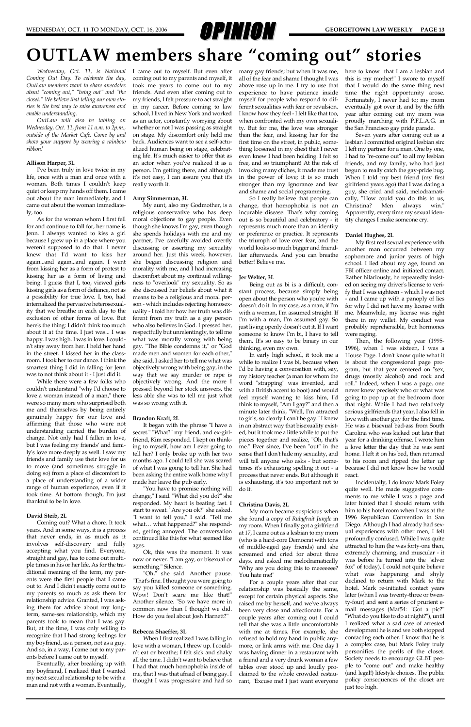

*Wednesday, Oct. 11, is National Coming Out Day. To celebrate the day, OutLaw members want to share anecdotes about "coming out," "being out" and "the closet." We believe that telling our own stories is the best way to raise awareness and enable understanding.* 

*OutLaw will also be tabling on Wednesday, Oct. 11, from 11 a.m. to 2p.m., outside of the Market Café. Come by and show your support by wearing a rainbow ribbon!*

#### **Allison Harper, 3L**

I've been truly in love twice in my life, once with a man and once with a woman. Both times I couldn't keep quiet or keep my hands off them. I came out about the man immediately, and I came out about the woman immediately, too.

As for the woman whom I first fell for and continue to fall for, her name is Jenn. I always wanted to kiss a girl because I grew up in a place where you weren't supposed to do that. I never knew that I'd want to kiss her again...and again...and again. I went from kissing her as a form of protest to kissing her as a form of living and being. I guess that I, too, viewed girls kissing girls as a form of defiance, not as a possibility for true love. I, too, had internalized the pervasive heterosexuality that we breathe in each day to the exclusion of other forms of love. But here's the thing: I didn't think too much about it at the time. I just was... I was happy. I was high. I was in love. I couldn't stay away from her. I held her hand in the street. I kissed her in the classroom. I took her to our dance. I think the smartest thing I did in falling for Jenn was to not think about it - I just did it.

While there were a few folks who couldn't understand "why I'd choose to love a woman instead of a man," there were so many more who surprised both me and themselves by being entirely genuinely happy for our love and affirming that those who were not understanding carried the burden of change. Not only had I fallen in love, but I was feeling my friends' and family's love more deeply as well. I saw my friends and family use their love for us to move (and sometimes struggle in doing so) from a place of discomfort to a place of understanding of a wider range of human experience, even if it took time. At bottom though, I'm just thankful to be in love.

### **David Steib, 2L**

Coming out? What a chore. It took years. And in some ways, it is a process

that never ends, in as much as it involves self-discovery and fully accepting what you find. Everyone, straight and gay, has to come out multiple times in his or her life. As for the traditional meaning of the term, my parents were the first people that I came out to. And I didn't exactly come out to my parents so much as ask them for relationship advice. Granted, I was asking them for advice about my longterm, same-sex relationship, which my parents took to mean that I was gay. But, at the time, I was only willing to recognize that I had strong feelings for my boyfriend, as a person, not as a guy. And so, in a way, I came out to my parents before I came out to myself.

Eventually, after breaking up with my boyfriend, I realized that I wanted my next sexual relationship to be with a man and not with a woman. Eventually,

I came out to myself. But even after many gay friends; but when it was me, coming out to my parents and myself, it took me years to come out to my friends. And even after coming out to my friends, I felt pressure to act straight in my career. Before coming to law school, I lived in New York and worked as an actor, constantly worrying about whether or not I was passing as straight on stage. My discomfort only held me back. Audiences want to see a self-actualized human being on stage, celebrating life. It's much easier to offer that as an actor when you've realized it as a person. I'm getting there, and although it's not easy, I can assure you that it's really worth it.

#### **Amy Simmerman, 3L**

My aunt, also my Godmother, is a religious conservative who has deep moral objections to gay people. Even though she knows I'm gay, even though she spends holidays with me and my partner, I've carefully avoided overtly discussing or asserting my sexuality around her. Just this week, however, she began discussing religion and morality with me, and I had increasing discomfort about my continual willingness to "overlook" my sexuality. So as she discussed her beliefs about what it means to be a religious and moral person - which includes rejecting homosexuality - I told her how her truth was different from my truth as a gay person who also believes in God. I pressed her, respectfully but unrelentingly, to tell me what was morally wrong with being gay. "The Bible condemns it," or "God made men and women for each other," she said. I asked her to tell me what was objectively wrong with being gay, in the way that we say murder or rape is objectively wrong. And the more I pressed beyond her stock answers, the less able she was to tell me just what was so wrong with it.

#### **Brandon Kraft, 2L**

It began with the phrase "I have a secret." "What?" my friend, and ex-girlfriend, Kim responded. I kept on thinking to myself, how am I ever going to tell her? I only broke up with her two months ago. I could tell she was scared of what I was going to tell her. She had been asking the entire walk home why I made her leave the pub early.

"You have to promise nothing will change," I said. "What did you do?" she responded. My heart is beating fast. I start to sweat. "Are you ok?" she asked. "I want to tell you," I said. "Tell me what… what happened?" she responded, getting annoyed. The conversation continued like this for what seemed like ages.

Ok, this was the moment. It was now or never. "I am gay, or bisexual or something." Silence.

"Oh," she said. Another pause. "That's fine. I thought you were going to say you killed someone or something. Wow! Don't scare me like that!" Another silence. "So we have more in common now than I thought we did. How do you feel about Josh Harnett?"

#### **Rebecca Shaeffer, 3L**

When I first realized I was falling in love with a woman, I threw up. I couldn't eat or breathe; I felt sick and shaky all the time. I didn't want to believe that I had that much homophobia inside of me, that I was that afraid of being gay. I thought I was progressive and had so

all of the fear and shame I thought I was above rose up in me. I try to use that experience to have patience inside myself for people who respond to different sexualities with fear or revulsion. I know how they feel - I felt like that too, when confronted with my own sexuality. But for me, the love was stronger than the fear, and kissing her for the first time on the street, in public, something loosened in my chest that I never even knew I had been holding. I felt so free, and so triumphant! At the risk of invoking many cliches, it made me trust in the power of love; it is so much stronger than my ignorance and fear and shame and social programming.

So I really believe that people can change, that homophobia is not an incurable disease. That's why coming out is so beautiful and celebratory - it represents much more than an identity or preference or practice. It represents the triumph of love over fear, and the world looks so much bigger and friendlier afterwards. And you can breathe better! Believe me.

#### **Jer Welter, 3L**

Being out as bi is a difficult, constant process, because simply being open about the person who you're with doesn't do it. In my case, as a man, if I'm with a woman, I'm assumed straight. If I'm with a man, I'm assumed gay. So just living openly doesn't cut it. If I want someone to know I'm bi, I have to tell them. It's so easy to be binary in our thinking, even my own.

In early high school, it took me a while to realize I was bi, because when I'd be having a conversation with, say, my history teacher (a man for whom the word "strapping" was invented, and with a British accent to boot) and would feel myself wanting to kiss him, I'd think to myself, "Am I gay?" and then a minute later think, "Well, I'm attracted to girls, so clearly I can't be gay." I knew in an abstract way that bisexuality existed, but it took me a little while to put the pieces together and realize, "Oh, that's me." Ever since, I've been "out" in the sense that I don't hide my sexuality, and will tell anyone who asks - but sometimes it's exhausting spelling it out - a process that never ends. But although it is exhausting, it's too important not to do it.

### **Christina Davis, 2L**

My mom became suspicious when she found a copy of *Rubyfruit Jungle* in my room. When I finally got a girlfriend at 17, I came out as a lesbian to my mom (who is a hard-core Democrat with tons of middle-aged gay friends) and she screamed and cried for about three days, and asked me melodramatically "Why are you doing this to meeeeeee? You hate me!" For a couple years after that our relationship was basically the same, except for certain physical aspects. She raised me by herself, and we've always been very close and affectionate. For a couple years after coming out I could tell that she was a little uncomfortable with me at times. For example, she refused to hold my hand in public anymore, or link arms with me. One day I was having dinner in a restaurant with a friend and a very drunk woman a few tables over stood up and loudly proclaimed to the whole crowded restaurant, "Excuse me! I just want everyone

here to know that I am a lesbian and this is my mother!" I swore to myself that I would do the same thing next time the right opportunity arose. Fortunately, I never had to; my mom eventually got over it, and by the fifth year after coming out my mom was proudly marching with P.F.L.A.G. in the San Francisco gay pride parade.

Seven years after coming out as a lesbian I committed original lesbian sin: I left my partner for a man. One by one, I had to "re-come out" to all my lesbian friends, and my family, who had just begun to really catch the gay-pride bug. When I told my best friend (my first girlfriend years ago) that I was dating a guy, she cried and said, melodramatically, "How could you do this to us, Christina? Men always win." Apparently, every time my sexual identity changes I make someone cry.

#### **Daniel Hughes, 2L**

My first real sexual experience with another man occurred between my sophomore and junior years of high school. I lied about my age, found an FBI officer online and initiated contact. Rather hilariously, he repeatedly insisted on seeing my driver's license to verify that I was eighteen - which I was not - and I came up with a panoply of lies for why I did not have my license with me. Meanwhile, my license was right there in my wallet. My conduct was probably reprehensible, but hormones were raging.

Then, the following year (1995- 1996), when I was sixteen, I was a House Page. I don't know quite what it is about the congressional page program, but that year centered on "sex, drugs (mostly alcohol) and rock and roll." Indeed, when I was a page, one never knew precisely who or what was going to pop up at the bedroom door that night. While I had two relatively serious girlfriends that year, I also fell in love with another guy for the first time. He was a bisexual bad-ass from South Carolina who was kicked out later that year for a drinking offense. I wrote him a love letter the day that he was sent home. I left it on his bed, then returned to his room and ripped the letter up because I did not know how he would react.

Incidentally, I do know Mark Foley quite well. He made suggestive comments to me while I was a page and later hinted that I should return with him to his hotel room when I was at the 1996 Republican Convention in San Diego. Although I had already had sexual experiences with other men, I felt profoundly confused. While I was quite attracted to him (he was forty-one then, extremely charming, and muscular - it was before he turned into the "silver fox" of today), I could not quite believe what was happening and shyly declined to return with Mark to the hotel. Mark re-initiated contact years later (when I was twenty-three or twenty-four) and sent a series of prurient email messages (Maf54: "Got a pic?" "What do you like to do at night?"), until I realized what a sad case of arrested development he is and we both stopped contacting each other. I know that he is a complex case, but Mark Foley truly personifies the perils of the closet. Society needs to encourage GLBT people to "come out" and make healthy (and legal!) lifestyle choices. The public policy consequences of the closet are just too high.

### **OUTLAW members share "coming out" stories**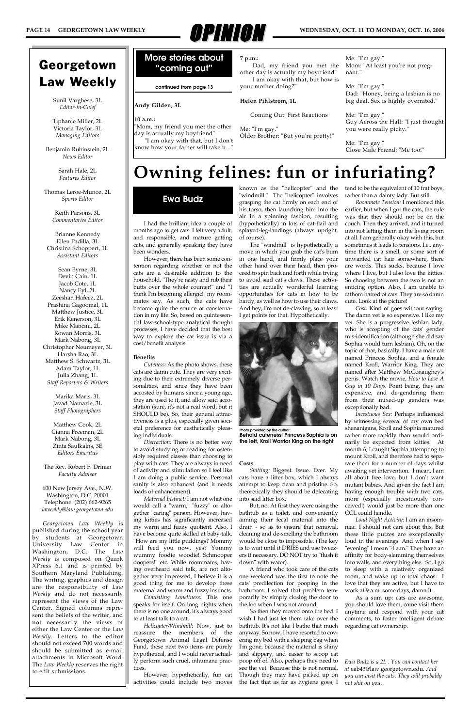### **Andy Gilden, 3L**

### **10 a.m.:**

"Mom, my friend you met the other day is actually my boyfriend"

"I am okay with that, but I don't know how your father will take it..."

**7 p.m.:**

"Dad, my friend you met the other day is actually my boyfriend" "I am okay with that, but how is your mother doing?"

### **Helen Pihlstrom, 1L**

Coming Out: First Reactions

Me: "I'm gay." Older Brother: "But you're pretty!"

Me: "I'm gay." Mom: "At least you're not pregnant."

Me: "I'm gay." Dad: "Honey, being a lesbian is no big deal. Sex is highly overrated."

Me: "I'm gay." Guy Across the Hall: "I just thought you were really picky."

Me: "I'm gay." Close Male Friend: "Me too!"



### Georgetown Law Weekly

Sunil Varghese, 3L *Editor-in-Chief*

Tiphanie Miller, 2L Victoria Taylor, 3L *Managing Editors*

Benjamin Rubinstein, 2L *News Editor*

> Sarah Hale, 2L *Features Editor*

Thomas Leroe-Munoz, 2L *Sports Editor*

> Keith Parsons, 3L *Commentaries Editor*

### Brianne Kennedy Ellen Padilla, 3L Christina Schoppert, 1L *Assistant Editors*

Sean Byrne, 3L Devin Cain, 1L Jacob Cote, 1L Nancy Eyl, 2L Zeeshan Hafeez, 2L Prashina Gagoomal, 1L Matthew Justice, 3L Erik Kenerson, 3L Mike Mancini, 2L Rowan Morris, 3L Mark Nabong, 3L Christopher Neumeyer, 3L Harsha Rao, 3L Matthew S. Schwartz, 3L Adam Taylor, 1L Julia Zhang, 1L *Staff Reporters & Writers*

> Marika Maris, 3L Javad Namazie, 3L *Staff Photographers*

Matthew Cook, 2L Cianna Freeman, 2L Mark Nabong, 3L Zinta Saulkalns, 3E *Editors Emeritus*

The Rev. Robert F. Drinan *Faculty Advisor*

600 New Jersey Ave., N.W. Washington, D.C. 20001 Telephone: (202) 662-9265 *laweekly@law.georgetown.edu*

*Georgetown Law Weekly* is published during the school year

by students at Georgetown University Law Center in Washington, D.C. The *Law Weekly* is composed on Quark XPress 6.1 and is printed by Southern Maryland Publishing. The writing, graphics and design are the responsibility of *Law Weekly* and do not necessarily represent the views of the Law Center. Signed columns represent the beliefs of the writer, and not necessarily the views of either the Law Center or the *Law Weekly*. Letters to the editor should not exceed 700 words and should be submitted as e-mail attachments in Microsoft Word. The *Law Weekly* reserves the right to edit submissions.

### **Owning felines: fun or infuriating?**

I had the brilliant idea a couple of months ago to get cats. I felt very adult, and responsible, and mature getting cats, and generally speaking they have been wonders.

However, there has been some contention regarding whether or not the cats are a desirable addition to the household. "They're nasty and rub their butts over the whole counter!" and "I think I'm becoming allergic!" my roommates say. As such, the cats have become quite the source of consternation in my life. So, based on quintessential law-school-type analytical thought processes, I have decided that the best way to explore the cat issue is via a cost/benefit analysis.

#### **Benefits**

*Cuteness:* As the photo shows, these cats are damn cute. They are very exciting due to their extremely diverse personalities, and since they have been accosted by humans since a young age, they are used to it, and allow said accostation (sure, it's not a real word, but it SHOULD be). So, their general attractiveness is a plus, especially given societal preference for aesthetically pleasing individuals.

*Distraction:* There is no better way to avoid studying or reading for ostensibly required classes than choosing to play with cats. They are always in need of activity and stimulation so I feel like I am doing a public service. Personal sanity is also enhanced (and it needs loads of enhancement).

*Maternal Instinct:* I am not what one would call a "warm," "fuzzy" or altogether "caring" person. However, having kitties has significantly increased my warm and fuzzy quotient. Also, I have become quite skilled at baby-talk. "How are my little puddings? Mommy will feed you now, yes? Yummy wummy foodie woodie! Schmooper doopers!" etc. While roommates, having overheard said talk, are not altogether very impressed, I believe it is a good thing for me to develop these maternal and warm and fuzzy instincts.

*Combating Loneliness:* This one speaks for itself. On long nights when there is no one around, it's always good to at least talk to a cat.

*Helicopter/Windmill:* Now, just to reassure the members of the Georgetown Animal Legal Defense Fund, these next two items are purely hypothetical, and I would never actually perform such cruel, inhumane practices.

However, hypothetically, fun cat activities could include two moves

known as the "helicopter" and the "windmill." The "helicopter" involves grasping the cat firmly on each end of his torso, then launching him into the air in a spinning fashion, resulting (hypothetically) in lots of cat-flail and splayed-leg-landings (always upright, of course).

The "windmill" is hypothetically a move in which you grab the cat's bum in one hand, and firmly place your other hand over their head, then proceed to spin back and forth while trying to avoid said cat's claws. These activities are actually wonderful learning opportunities for cats in how to be hardy, as well as how to use their claws. And hey, I'm not de-clawing, so at least I get points for that. Hypothetically.

#### **Costs**

*Shitting:* Biggest. Issue. Ever. My cats have a litter box, which I always attempt to keep clean and pristine. So, theoretically they should be defecating into said litter box.

But, no. At first they were using the bathtub as a toilet, and conveniently aiming their fecal material into the drain - so as to ensure that removal, cleaning and de-smelling the bathroom would be close to impossible. (The key is to wait until it DRIES and use tweezers if necessary. DO NOT try to "flush it down" with water).

A friend who took care of the cats one weekend was the first to note the cats' predilection for pooping in the bathroom. I solved that problem temporarily by simply closing the door to the loo when I was not around.

So then they moved onto the bed. I wish I had just let them take over the bathtub. It's not like I bathe that much anyway. So now, I have resorted to covering my bed with a sleeping bag when I'm gone, because the material is shiny and slippery, and easier to scoop cat poop off of. Also, perhaps they need to see the vet. Because this is not normal. Though they may have picked up on the fact that as far as hygiene goes, I

tend to be the equivalent of 10 frat boys, rather than a dainty lady. But still.

*Roommate Tension:* I mentioned this earlier, but when I got the cats, the rule was that they should not be on the couch. Then they arrived, and it turned into not letting them in the living room at all. I am generally okay with this, but sometimes it leads to tensions. I.e., anytime there is a smell, or some sort of unwanted cat hair somewhere, there are words. This sucks, because I love where I live, but I also love the kitties. So choosing between the two is not an enticing option. Also, I am unable to fathom hatred of cats. They are so damn cute. Look at the picture!

*Cost:* Kind of goes without saying. The damn vet is so expensive. I like my vet. She is a progressive lesbian lady, who is accepting of the cats' gender mis-identification (although she did say Sophia would turn lesbian). Oh, on the topic of that, basically, I have a male cat named Princess Sophia, and a female named Kroll, Warrior King. They are named after Matthew McConaughey's penis. Watch the movie, *How to Lose A Guy in 10 Days*. Point being, they are expensive, and de-gendering them from their mixed-up genders was exceptionally bad.

*Incestuous Sex:* Perhaps influenced by witnessing several of my own bed shenanigans, Kroll and Sophia matured rather more rapidly than would ordinarily be expected from kitties. At month 6, I caught Sophia attempting to mount Kroll, and therefore had to separate them for a number of days whilst awaiting vet intervention. I mean, I am all about free love, but I don't want mutant babies. And given the fact I am having enough trouble with two cats, more (especially incestuously conceived!) would just be more than one CCL could handle.

*Loud Night Activity:* I am an insomniac. I should not care about this. But these little putzes are exceptionally loud in the evenings. And when I say "evening" I mean "4 a.m." They have an affinity for body-slamming themselves into walls, and everything else. So, I go to sleep with a relatively organized room, and wake up to total chaos. I love that they are active, but I have to work at 9 a.m. some days, damn it.

As a sum up: cats are awesome, you should love them, come visit them anytime and respond with your cat comments, to foster intelligent debate regarding cat ownership.

### **Ewa Budz**



**Photo provided by the author. Behold cuteness! Princess Sophia is on the left, Kroll Warrior King on the right**

*Ewa Budz is a 2L . You can contact her at* eab43@law.georgetown.edu. *And you can visit the cats. They will probably not shit on you.*

### **More stories about "coming out"**

**continued from page 13**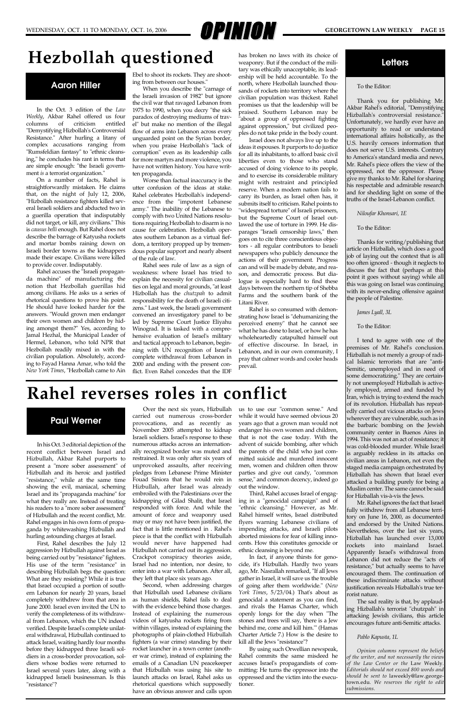# WEDNESDAY, OCT. 11 TO MONDAY, OCT. 16, 2006 **GEORGETOWN LAW WEEKLY PAGE 15**

In the Oct. 3 edition of the *Law Weekly*, Akbar Rahel offered us four columns of criticism entitled "Demystifying Hizbollah's Controversial Resistance." After hurling a litany of complex accusations ranging from "Rumsfeldian fantasy" to "ethnic cleansing," he concludes his rant in terms that are simple enough: "the Israeli government *is* a terrorist organization."

On a number of facts, Rahel is straightforwardly mistaken. He claims that, on the night of July 12, 2006, "Hizbollah resistance fighters killed several Israeli soldiers and abducted two in a guerilla operation that indisputably did not target, or kill, any civilians." This is *causus belli* enough. But Rahel does not describe the barrage of Katyusha rockets and mortar bombs raining down on Israeli border towns as the kidnappers made their escape. Civilians were killed to provide cover. Indisputably.

Rahel accuses the "Israeli propaganda machine" of manufacturing the notion that Hezbollah guerillas hid among civilians. He asks us a series of rhetorical questions to prove his point. He should have looked harder for the answers. "Would grown men endanger their own women and children by hiding amongst them?" Yes, according to Jamal Hezhal, the Municipal Leader of Hermel, Lebanon, who told NPR that Hezbollah readily mixed in with the civilian population. Absolutely, according to Fayad Hanna Amar, who told the *New York Times*, "Hezbollah came to Ain

Ebel to shoot its rockets. They are shooting from between our houses."

When you describe the "carnage of the Israeli invasion of 1982" but ignore the civil war that ravaged Lebanon from 1975 to 1990, when you decry "the sick paradox of destroying mediums of travel" but make no mention of the illegal flow of arms into Lebanon across every unguarded point on the Syrian border, when you praise Hezbollah's "lack of corruption" even as its leadership calls for more martyrs and more violence, you have not written history. You have written propaganda.

Worse than factual inaccuracy is the utter confusion of the ideas at stake. Rahel celebrates Hezbollah's independence from the "impotent Lebanese army." The inability of the Lebanese to comply with two United Nations resolutions requiring Hezbollah to disarm is no cause for celebration. Hezbollah operates southern Lebanon as a virtual fiefdom, a territory propped up by tremendous popular support and nearly absent of the rule of law.

Rahel sees rule of law as a sign of weakness: where Israel has tried to explain the necessity for civilian casualties on legal and moral grounds, "at least Hizbollah has the *chutzpah* to admit responsibility for the death of Israeli citizens." Last week, the Israeli government convened an investigatory panel to be led by Supreme Court Justice Eliyahu Winograd. It is tasked with a comprehensive evaluation of Israel's military and tactical approach to Lebanon, beginning with UN recognition of Israel's complete withdrawal from Lebanon in 2000 and ending with the present conflict. Even Rahel concedes that the IDF

has broken no laws with its choice of weaponry. But if the conduct of the military was ethically unacceptable, its leadership will be held accountable. To the north, where Hezbollah launched thousands of rockets into territory where the civilian population was thickest. Rahel promises us that the leadership will be praised. Southern Lebanon may be "about a group of oppressed fighting against oppression," but civilized peoples do not take pride in the body count.

Israel does not always live up to the ideas it espouses. It purports to do justice for all its inhabitants, to afford basic civil liberties even to those who stand accused of doing violence to its people, and to exercise its considerable military might with restraint and principled reserve. When a modern nation fails to carry its burden, as Israel often has, it submits itself to criticism. Rahel points to "widespread torture" of Israeli prisoners, but the Supreme Court of Israel outlawed the use of torture in 1999. He disparages "Israeli censorship laws," then goes on to cite three conscientious objectors - all regular contributors to Israeli newspapers who publicly denounce the actions of their government. Progress can and will be made by debate, and reason, and democratic process. But dialogue is especially hard to find these days between the northern tip of Shebba Farms and the southern bank of the Litani River.

Rahel is so consumed with demonstrating how Israel is "dehumanizing the perceived enemy" that he cannot see what he has done to Israel, or how he has wholeheartedly catapulted himself out of effective discourse. In Israel, in Lebanon, and in our own community, I pray that calmer words and cooler heads prevail.

In his Oct. 3 editorial depiction of the recent conflict between Israel and Hizbullah, Akbar Rahel purports to present a "more sober assessment" of Hizbullah and its heroic and justified "resistance," while at the same time showing the evil, maniacal, scheming Israel and its "propaganda machine" for what they really are. Instead of treating his readers to a "more sober assessment" of Hizbullah and the recent conflict, Mr. Rahel engages in his own form of propaganda by whitewashing Hizbullah and

hurling astounding charges at Israel.

First, Rahel describes the July 12 aggression by Hizbullah against Israel as being carried out by "resistance" fighters. His use of the term "resistance" in describing Hizbullah begs the question: What are they resisting? While it is true that Israel occupied a portion of southern Lebanon for nearly 20 years, Israel completely withdrew from that area in June 2000. Israel even invited the UN to verify the completeness of its withdrawal from Lebanon, which the UN indeed verified. Despite Israel's complete unilateral withdrawal, Hizbullah continued to attack Israel, waiting hardly four months before they kidnapped three Israeli soldiers in a cross-border provocation, soldiers whose bodies were returned to Israel several years later, along with a kidnapped Israeli businessman. Is this "resistance"?

Over the next six years, Hizbullah carried out numerous cross-border provocations, and as recently as November 2005 attempted to kidnap Israeli soldiers. Israel's response to these numerous attacks across an internationally recognized border was muted and restrained. It was only after six years of unprovoked assaults, after receiving pledges from Lebanese Prime Minister Fouad Siniora that he would rein in Hizbullah, after Israel was already embroiled with the Palestinians over the kidnapping of Gilad Shalit, that Israel responded with force. And while the amount of force and weaponry used may or may not have been justified, the fact that is little mentioned in . Rahel's piece is that the conflict with Hizbullah would never have happened had Hizbullah not carried out its aggression. Crackpot conspiracy theories aside, Israel had no intention, nor desire, to enter into a war with Lebanon. After all, they left that place six years ago. Second, when addressing charges that Hizbullah used Lebanese civilians as human shields, Rahel fails to deal with the evidence behind those charges. Instead of explaining the numerous videos of katyusha rockets firing from within villages, instead of explaining the photographs of plain-clothed Hizbullah fighters (a war crime) standing by their rocket launcher in a town center (another war crime), instead of explaining the emails of a Canadian UN peacekeeper that Hizbullah was using his site to launch attacks on Israel, Rahel asks us rhetorical questions which supposedly have an obvious answer and calls upon

us to use our "common sense." And while it would have seemed obvious 20 years ago that a grown man would not endanger his own women and children, that is not the case today. With the advent of suicide bombing, after which the parents of the child who just committed suicide and murdered innocent men, women and children often throw parties and give out candy, "common sense," and common decency, indeed go out the window.

Third, Rahel accuses Israel of engaging in a "genocidal campaign" and of "ethnic cleansing." However, as Mr. Rahel himself writes, Israel distributed flyers warning Lebanese civilians of impending attacks, and Israeli pilots aborted missions for fear of killing innocents. How this constitutes genocide or ethnic cleansing is beyond me. In fact, if anyone thirsts for genocide, it's Hizbullah. Hardly two years ago, Mr. Nasrallah remarked, "If all Jews gather in Israel, it will save us the trouble of going after them worldwide." (*New York Times*, 5/23/04.) That's about as genocidal a statement as you can find, and rivals the Hamas Charter, which openly longs for the day when "The stones and trees will say, 'there is a Jew behind me, come and kill him.'" (Hamas Charter Article 7.) How is the desire to kill all the Jews "resistance"? By using such Orwellian newspeak, Rahel commits the same misdeed he accuses Israel's propagandists of committing: He turns the oppressor into the oppressed and the victim into the executioner.

### **Hezbollah questioned**

### **Rahel reverses roles in conflict**

### **Aaron Hiller**

### **Paul Werner**

#### To the Editor:

Thank you for publishing Mr. Akbar Rahel's editorial, "Demystifying Hizballah's controversial resistance. Unfortunately, we hardly ever have an opportunity to read or understand international affairs holistically, as the U.S. heavily censors information that does not serve U.S. interests. Contrary to America's standard media and news, Mr. Rahel's piece offers the view of the oppressed, not the oppressor. Please give my thanks to Mr. Rahel for sharing his respectable and admirable research and for shedding light on some of the truths of the Israel-Lebanon conflict.

*Niloufar Khonsari, 1E* 

To the Editor:

Thanks for writing/publishing that article on Hizballah, which does a good job of laying out the context that is all too often ignored - though it neglects to discuss the fact that (perhaps at this point it goes without saying) while all this was going on Israel was continuing with its never-ending offensive against the people of Palestine.

*James Lyall, 3L*

To the Editor:

I tend to agree with one of the premises of Mr. Rahel's conclusion. Hizballah is not merely a group of radical Islamic terrorists that are "anti-Semitic, unemployed and in need of some democratizing." They are certainly not unemployed! Hizballah is actively employed, armed and funded by Iran, which is trying to extend the reach of its revolution. Hizballah has repeatedly carried out vicious attacks on Jews wherever they are vulnerable, such as in the barbaric bombing on the Jewish community center in Buenos Aires in 1994. This was not an act of resistance; it was cold-blooded murder. While Israel is arguably reckless in its attacks on civilian areas in Lebanon, not even the staged media campaign orchestrated by Hizballah has shown that Israel ever attacked a building purely for being a Muslim center. The same cannot be said for Hizballah vis-à-vis the Jews.

Mr. Rahel ignores the fact that Israel fully withdrew from all Lebanese territory on June 16, 2000, as documented and endorsed by the United Nations. Nevertheless, over the last six years, Hizballah has launched over 13,000 rockets into mainland Israel. Apparently Israel's withdrawal from Lebanon did not reduce the "acts of resistance," but actually seems to have encouraged them. The continuation of these indiscriminate attacks without justification reveals Hizballah's true terrorist nature. The sad reality is that, by applauding Hizballah's terrorist "chutzpah" in attacking Jewish civilians, this article encourages future anti-Semitic attacks.

#### *Pablo Kapusta, 1L*

*Opinion columns represent the beliefs of the writer, and not necessarily the views of the Law Center or the* Law Weekly*. Editorials should not exceed 800 words and should be sent to* laweekly@law.georgetown.edu*. We reserves the right to edit submissions.*

### **Letters**